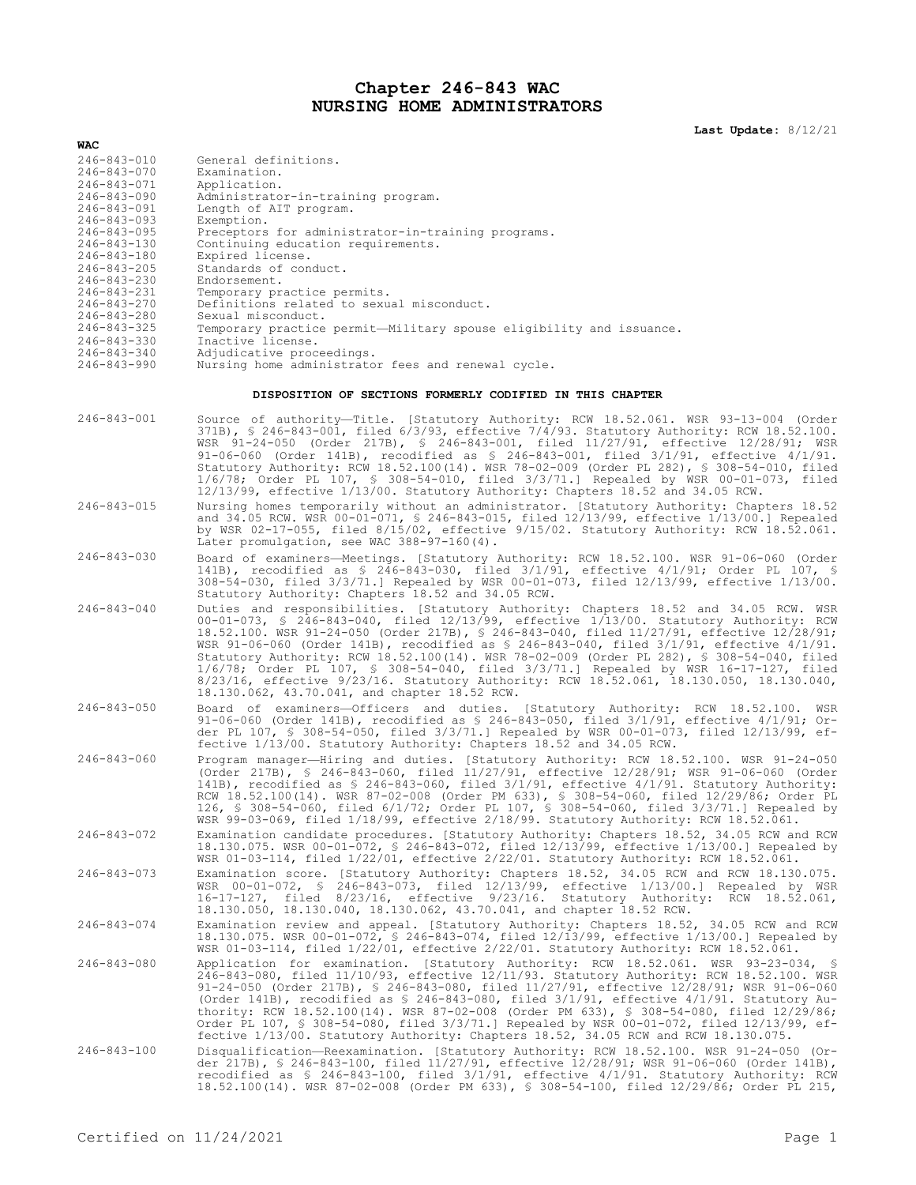## **Chapter 246-843 WAC NURSING HOME ADMINISTRATORS**

**Last Update:** 8/12/21

| WAC                                    |                                                                                                                                                                                                                                                                                                                                                                                                                                                                                                                                                                                                                                                                                                                 |  |  |  |  |  |  |  |  |
|----------------------------------------|-----------------------------------------------------------------------------------------------------------------------------------------------------------------------------------------------------------------------------------------------------------------------------------------------------------------------------------------------------------------------------------------------------------------------------------------------------------------------------------------------------------------------------------------------------------------------------------------------------------------------------------------------------------------------------------------------------------------|--|--|--|--|--|--|--|--|
| 246-843-010                            | General definitions.                                                                                                                                                                                                                                                                                                                                                                                                                                                                                                                                                                                                                                                                                            |  |  |  |  |  |  |  |  |
| $246 - 843 - 070$                      | Examination.                                                                                                                                                                                                                                                                                                                                                                                                                                                                                                                                                                                                                                                                                                    |  |  |  |  |  |  |  |  |
| 246-843-071                            | Application.                                                                                                                                                                                                                                                                                                                                                                                                                                                                                                                                                                                                                                                                                                    |  |  |  |  |  |  |  |  |
| 246-843-090<br>246-843-091             | Administrator-in-training program.<br>Length of AIT program.                                                                                                                                                                                                                                                                                                                                                                                                                                                                                                                                                                                                                                                    |  |  |  |  |  |  |  |  |
| 246-843-093                            | Exemption.                                                                                                                                                                                                                                                                                                                                                                                                                                                                                                                                                                                                                                                                                                      |  |  |  |  |  |  |  |  |
| $246 - 843 - 095$                      | Preceptors for administrator-in-training programs.                                                                                                                                                                                                                                                                                                                                                                                                                                                                                                                                                                                                                                                              |  |  |  |  |  |  |  |  |
| 246-843-130<br>246-843-180             | Continuing education requirements.<br>Expired license.                                                                                                                                                                                                                                                                                                                                                                                                                                                                                                                                                                                                                                                          |  |  |  |  |  |  |  |  |
| 246-843-205                            | Standards of conduct.                                                                                                                                                                                                                                                                                                                                                                                                                                                                                                                                                                                                                                                                                           |  |  |  |  |  |  |  |  |
| 246-843-230                            | Endorsement.                                                                                                                                                                                                                                                                                                                                                                                                                                                                                                                                                                                                                                                                                                    |  |  |  |  |  |  |  |  |
| 246-843-231<br>246-843-270             | Temporary practice permits.<br>Definitions related to sexual misconduct.                                                                                                                                                                                                                                                                                                                                                                                                                                                                                                                                                                                                                                        |  |  |  |  |  |  |  |  |
| 246-843-280                            | Sexual misconduct.                                                                                                                                                                                                                                                                                                                                                                                                                                                                                                                                                                                                                                                                                              |  |  |  |  |  |  |  |  |
| 246-843-325                            | Temporary practice permit-Military spouse eligibility and issuance.                                                                                                                                                                                                                                                                                                                                                                                                                                                                                                                                                                                                                                             |  |  |  |  |  |  |  |  |
| 246-843-330                            | Inactive license.                                                                                                                                                                                                                                                                                                                                                                                                                                                                                                                                                                                                                                                                                               |  |  |  |  |  |  |  |  |
| $246 - 843 - 340$<br>$246 - 843 - 990$ | Adjudicative proceedings.<br>Nursing home administrator fees and renewal cycle.                                                                                                                                                                                                                                                                                                                                                                                                                                                                                                                                                                                                                                 |  |  |  |  |  |  |  |  |
|                                        | DISPOSITION OF SECTIONS FORMERLY CODIFIED IN THIS CHAPTER                                                                                                                                                                                                                                                                                                                                                                                                                                                                                                                                                                                                                                                       |  |  |  |  |  |  |  |  |
|                                        |                                                                                                                                                                                                                                                                                                                                                                                                                                                                                                                                                                                                                                                                                                                 |  |  |  |  |  |  |  |  |
| 246-843-001                            | Source of authority-Title. [Statutory Authority: RCW 18.52.061. WSR 93-13-004 (Order<br>371B), § 246-843-001, filed 6/3/93, effective 7/4/93. Statutory Authority: RCW 18.52.100.<br>WSR 91-24-050 (Order 217B), § 246-843-001, filed 11/27/91, effective 12/28/91; WSR<br>91-06-060 (Order 141B), recodified as $$ 246-843-001$ , filed $3/1/91$ , effective $4/1/91$ .<br>Statutory Authority: RCW 18.52.100(14). WSR 78-02-009 (Order PL 282), § 308-54-010, filed<br>1/6/78; Order PL 107, § 308-54-010, filed 3/3/71.] Repealed by WSR 00-01-073, filed<br>$12/13/99$ , effective $1/13/00$ . Statutory Authority: Chapters 18.52 and 34.05 RCW.                                                           |  |  |  |  |  |  |  |  |
| 246-843-015                            | Nursing homes temporarily without an administrator. [Statutory Authority: Chapters 18.52<br>and 34.05 RCW. WSR 00-01-071, \$ 246-843-015, filed 12/13/99, effective 1/13/00.] Repealed<br>by WSR 02-17-055, filed 8/15/02, effective 9/15/02. Statutory Authority: RCW 18.52.061.<br>Later promulgation, see WAC 388-97-160(4).                                                                                                                                                                                                                                                                                                                                                                                 |  |  |  |  |  |  |  |  |
| 246-843-030                            | Board of examiners-Meetings. [Statutory Authority: RCW 18.52.100. WSR 91-06-060 (Order                                                                                                                                                                                                                                                                                                                                                                                                                                                                                                                                                                                                                          |  |  |  |  |  |  |  |  |
|                                        | 141B), recodified as \$ 246-843-030, filed 3/1/91, effective 4/1/91; Order PL 107, \$<br>308-54-030, filed 3/3/71.] Repealed by WSR 00-01-073, filed 12/13/99, effective 1/13/00.<br>Statutory Authority: Chapters 18.52 and 34.05 RCW.                                                                                                                                                                                                                                                                                                                                                                                                                                                                         |  |  |  |  |  |  |  |  |
| 246-843-040                            | Duties and responsibilities. [Statutory Authority: Chapters 18.52 and 34.05 RCW. WSR<br>00-01-073, § 246-843-040, filed 12/13/99, effective 1/13/00. Statutory Authority: RCW<br>18.52.100. WSR 91-24-050 (Order 217B), § 246-843-040, filed 11/27/91, effective 12/28/91;<br>WSR 91-06-060 (Order 141B), recodified as $$ 246-843-040$ , filed $3/1/91$ , effective $4/1/91$ .<br>Statutory Authority: RCW 18.52.100(14). WSR 78-02-009 (Order PL 282), § 308-54-040, filed<br>1/6/78; Order PL 107, § 308-54-040, filed 3/3/71.] Repealed by WSR 16-17-127, filed<br>8/23/16, effective 9/23/16. Statutory Authority: RCW 18.52.061, 18.130.050, 18.130.040,<br>18.130.062, 43.70.041, and chapter 18.52 RCW. |  |  |  |  |  |  |  |  |
| $246 - 843 - 050$                      | Board of examiners-Officers and duties. [Statutory Authority: RCW 18.52.100. WSR<br>91-06-060 (Order 141B), recodified as § 246-843-050, filed $3/1/91$ , effective $4/1/91$ ; Or-<br>der PL 107, § 308-54-050, filed 3/3/71.] Repealed by WSR 00-01-073, filed 12/13/99, ef-<br>fective 1/13/00. Statutory Authority: Chapters 18.52 and 34.05 RCW.                                                                                                                                                                                                                                                                                                                                                            |  |  |  |  |  |  |  |  |
| 246-843-060                            | Program manager-Hiring and duties. [Statutory Authority: RCW 18.52.100. WSR 91-24-050<br>(Order 217B), § 246-843-060, filed 11/27/91, effective 12/28/91; WSR 91-06-060 (Order<br>141B), recodified as § 246-843-060, filed 3/1/91, effective 4/1/91. Statutory Authority:<br>RCW 18.52.100(14). WSR 87-02-008 (Order PM 633), § 308-54-060, filed 12/29/86; Order PL<br>126, \$ 308-54-060, filed 6/1/72; Order PL 107, \$ 308-54-060, filed 3/3/71.] Repealed by<br>WSR 99-03-069, filed 1/18/99, effective 2/18/99. Statutory Authority: RCW 18.52.061.                                                                                                                                                      |  |  |  |  |  |  |  |  |
| 246-843-072                            | Examination candidate procedures. [Statutory Authority: Chapters 18.52, 34.05 RCW and RCW<br>18.130.075. WSR 00-01-072, § 246-843-072, filed 12/13/99, effective 1/13/00.] Repealed by<br>WSR $01-03-114$ , filed $1/22/01$ , effective $2/22/01$ . Statutory Authority: RCW 18.52.061.                                                                                                                                                                                                                                                                                                                                                                                                                         |  |  |  |  |  |  |  |  |
| 246-843-073                            | Examination score. [Statutory Authority: Chapters 18.52, 34.05 RCW and RCW 18.130.075.<br>WSR 00-01-072, § 246-843-073, filed 12/13/99, effective 1/13/00.] Repealed by WSR<br>16-17-127, filed 8/23/16, effective 9/23/16. Statutory Authority: RCW 18.52.061,<br>18.130.050, 18.130.040, 18.130.062, 43.70.041, and chapter 18.52 RCW.                                                                                                                                                                                                                                                                                                                                                                        |  |  |  |  |  |  |  |  |
| 246-843-074                            | Examination review and appeal. [Statutory Authority: Chapters 18.52, 34.05 RCW and RCW<br>18.130.075. WSR 00-01-072, § 246-843-074, filed 12/13/99, effective 1/13/00.] Repealed by<br>WSR 01-03-114, filed 1/22/01, effective 2/22/01. Statutory Authority: RCW 18.52.061.                                                                                                                                                                                                                                                                                                                                                                                                                                     |  |  |  |  |  |  |  |  |
| $246 - 843 - 080$                      | Application for examination. [Statutory Authority: RCW 18.52.061. WSR 93-23-034, §<br>246-843-080, filed 11/10/93, effective 12/11/93. Statutory Authority: RCW 18.52.100. WSR                                                                                                                                                                                                                                                                                                                                                                                                                                                                                                                                  |  |  |  |  |  |  |  |  |
|                                        | 91-24-050 (Order 217B), § 246-843-080, filed 11/27/91, effective 12/28/91; WSR 91-06-060<br>(Order 141B), recodified as $\frac{1}{2}$ 246-843-080, filed 3/1/91, effective 4/1/91. Statutory Au-<br>thority: RCW 18.52.100(14). WSR 87-02-008 (Order PM 633), \$ 308-54-080, filed 12/29/86;<br>Order PL 107, § 308-54-080, filed 3/3/71.] Repealed by WSR 00-01-072, filed 12/13/99, ef-<br>fective 1/13/00. Statutory Authority: Chapters 18.52, 34.05 RCW and RCW 18.130.075.                                                                                                                                                                                                                                |  |  |  |  |  |  |  |  |
| $246 - 843 - 100$                      | Disqualification—Reexamination. [Statutory Authority: RCW 18.52.100. WSR 91-24-050 (Or-<br>der 217B), § 246-843-100, filed 11/27/91, effective 12/28/91; WSR 91-06-060 (Order 141B),<br>recodified as \$ 246-843-100, filed 3/1/91, effective 4/1/91. Statutory Authority: RCW<br>18.52.100(14). WSR 87-02-008 (Order PM 633), § 308-54-100, filed 12/29/86; Order PL 215,                                                                                                                                                                                                                                                                                                                                      |  |  |  |  |  |  |  |  |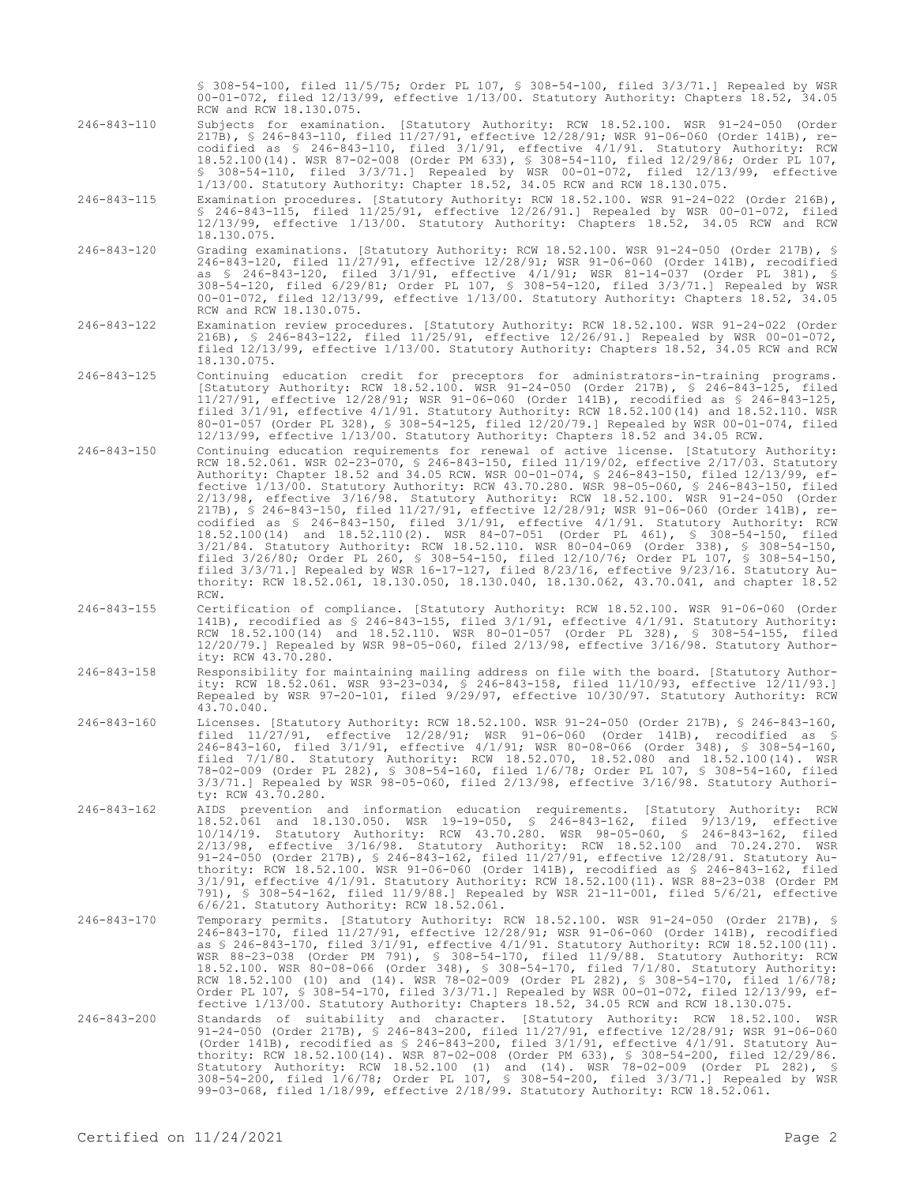§ 308-54-100, filed 11/5/75; Order PL 107, § 308-54-100, filed 3/3/71.] Repealed by WSR 00-01-072, filed 12/13/99, effective 1/13/00. Statutory Authority: Chapters 18.52, 34.05 RCW and RCW 18.130.075.

- 246-843-110 Subjects for examination. [Statutory Authority: RCW 18.52.100. WSR 91-24-050 (Order 217B), § 246-843-110, filed 11/27/91, effective 12/28/91; WSR 91-06-060 (Order 141B), recodified as § 246-843-110, filed 3/1/91, effective 4/1/91. Statutory Authority: RCW 18.52.100(14). WSR 87-02-008 (Order PM 633), § 308-54-110, filed 12/29/86; Order PL 107, § 308-54-110, filed 3/3/71.] Repealed by WSR 00-01-072, filed 12/13/99, effective 1/13/00. Statutory Authority: Chapter 18.52, 34.05 RCW and RCW 18.130.075.
- 246-843-115 Examination procedures. [Statutory Authority: RCW 18.52.100. WSR 91-24-022 (Order 216B), § 246-843-115, filed 11/25/91, effective 12/26/91.] Repealed by WSR 00-01-072, filed 12/13/99, effective 1/13/00. Statutory Authority: Chapters 18.52, 34.05 RCW and RCW 18.130.075.
- 246-843-120 Grading examinations. [Statutory Authority: RCW 18.52.100. WSR 91-24-050 (Order 217B), § 246-843-120, filed 11/27/91, effective 12/28/91; WSR 91-06-060 (Order 141B), recodified as § 246-843-120, filed 3/1/91, effective 4/1/91; WSR 81-14-037 (Order PL 381), § 308-54-120, filed 6/29/81; Order PL 107, § 308-54-120, filed 3/3/71.] Repealed by WSR 00-01-072, filed 12/13/99, effective 1/13/00. Statutory Authority: Chapters 18.52, 34.05 RCW and RCW 18.130.075.
- 246-843-122 Examination review procedures. [Statutory Authority: RCW 18.52.100. WSR 91-24-022 (Order 216B), § 246-843-122, filed 11/25/91, effective 12/26/91.] Repealed by WSR 00-01-072, filed 12/13/99, effective 1/13/00. Statutory Authority: Chapters 18.52, 34.05 RCW and RCW 18.130.075.
- 246-843-125 Continuing education credit for preceptors for administrators-in-training programs. [Statutory Authority: RCW 18.52.100. WSR 91-24-050 (Order 217B), § 246-843-125, filed 11/27/91, effective 12/28/91; WSR 91-06-060 (Order 141B), recodified as § 246-843-125, filed 3/1/91, effective 4/1/91. Statutory Authority: RCW 18.52.100(14) and 18.52.110. WSR 80-01-057 (Order PL 328), § 308-54-125, filed 12/20/79.] Repealed by WSR 00-01-074, filed 12/13/99, effective 1/13/00. Statutory Authority: Chapters 18.52 and 34.05 RCW.
- 246-843-150 Continuing education requirements for renewal of active license. [Statutory Authority: RCW 18.52.061. WSR 02-23-070, § 246-843-150, filed 11/19/02, effective 2/17/03. Statutory<br>Authority: Chapter 18.52 and 34.05 RCW. WSR 00-01-074, § 246-843-150, filed 12/13/99, ef-Authority: Chapter 18.52 and 34.05 RCW. WSR 00-01-074, § 246-843-150, filed 12/13/99, effective 1/13/00. Statutory Authority: RCW 43.70.280. WSR 98-05-060, § 246-843-150, filed 2/13/98, effective 3/16/98. Statutory Authority: RCW 18.52.100. WSR 91-24-050 (Order 217B), § 246-843-150, filed 11/27/91, effective 12/28/91; WSR 91-06-060 (Order 141B), recodified as § 246-843-150, filed 3/1/91, effective 4/1/91. Statutory Authority: RCW 18.52.100(14) and 18.52.110(2). WSR 84-07-051 (Order PL 461), § 308-54-150, filed 3/21/84. Statutory Authority: RCW 18.52.110. WSR 80-04-069 (Order 338), § 308-54-150, filed 3/26/80; Order PL 260, § 308-54-150, filed 12/10/76; Order PL 107, § 308-54-150, filed 3/3/71.] Repealed by WSR 16-17-127, filed 8/23/16, effective 9/23/16. Statutory Authority: RCW 18.52.061, 18.130.050, 18.130.040, 18.130.062, 43.70.041, and chapter 18.52 RCW.
- 246-843-155 Certification of compliance. [Statutory Authority: RCW 18.52.100. WSR 91-06-060 (Order 141B), recodified as § 246-843-155, filed 3/1/91, effective 4/1/91. Statutory Authority: RCW 18.52.100(14) and 18.52.110. WSR 80-01-057 (Order PL 328), § 308-54-155, filed 12/20/79.] Repealed by WSR 98-05-060, filed 2/13/98, effective 3/16/98. Statutory Authority: RCW 43.70.280.
- 246-843-158 Responsibility for maintaining mailing address on file with the board. [Statutory Authority: RCW 18.52.061. WSR 93-23-034, § 246-843-158, filed 11/10/93, effective 12/11/93.] Repealed by WSR 97-20-101, filed 9/29/97, effective 10/30/97. Statutory Authority: RCW 43.70.040.
- 246-843-160 Licenses. [Statutory Authority: RCW 18.52.100. WSR 91-24-050 (Order 217B), § 246-843-160, filed 11/27/91, effective 12/28/91; WSR 91-06-060 (Order 141B), recodified as § 246-843-160, filed 3/1/91, effective 4/1/91; WSR 80-08-066 (Order 348), § 308-54-160, filed 7/1/80. Statutory Authority: RCW 18.52.070, 18.52.080 and 18.52.100(14). WSR 78-02-009 (Order PL 282), § 308-54-160, filed 1/6/78; Order PL 107, § 308-54-160, filed 3/3/71.] Repealed by WSR 98-05-060, filed 2/13/98, effective 3/16/98. Statutory Authority: RCW 43.70.280.
- 246-843-162 AIDS prevention and information education requirements. [Statutory Authority: RCW 18.52.061 and 18.130.050. WSR 19-19-050, § 246-843-162, filed 9/13/19, effective 10/14/19. Statutory Authority: RCW 43.70.280. WSR 98-05-060, § 246-843-162, filed 2/13/98, effective 3/16/98. Statutory Authority: RCW 18.52.100 and 70.24.270. WSR 91-24-050 (Order 217B), § 246-843-162, filed 11/27/91, effective 12/28/91. Statutory Authority: RCW 18.52.100. WSR 91-06-060 (Order 141B), recodified as § 246-843-162, filed 3/1/91, effective 4/1/91. Statutory Authority: RCW 18.52.100(11). WSR 88-23-038 (Order PM 791), § 308-54-162, filed 11/9/88.] Repealed by WSR 21-11-001, filed 5/6/21, effective 6/6/21. Statutory Authority: RCW 18.52.061.
- 246-843-170 Temporary permits. [Statutory Authority: RCW 18.52.100. WSR 91-24-050 (Order 217B), § 246-843-170, filed 11/27/91, effective 12/28/91; WSR 91-06-060 (Order 141B), recodified as § 246-843-170, filed 3/1/91, effective 4/1/91. Statutory Authority: RCW 18.52.100(11). WSR 88-23-038 (Order PM 791), § 308-54-170, filed 11/9/88. Statutory Authority: RCW 18.52.100. WSR 80-08-066 (Order 348), § 308-54-170, filed 7/1/80. Statutory Authority: RCW 18.52.100 (10) and (14). WSR 78-02-009 (Order PL 282), § 308-54-170, filed 1/6/78;<br>Order PL 107, § 308-54-170, filed 3/3/71.] Repealed by WSR 00-01-072, filed 12/13/99, ef-<br>fective 1/13/00. Statutory Authority: Chapter
- 246-843-200 Standards of suitability and character. [Statutory Authority: RCW 18.52.100. WSR 91-24-050 (Order 217B), § 246-843-200, filed 11/27/91, effective 12/28/91; WSR 91-06-060 (Order 141B), recodified as § 246-843-200, filed 3/1/91, effective 4/1/91. Statutory Authority: RCW 18.52.100(14). WSR 87-02-008 (Order PM 633), § 308-54-200, filed 12/29/86. Statutory Authority: RCW 18.52.100 (1) and (14). WSR 78-02-009 (Order PL 282), § 308-54-200, filed 1/6/78; Order PL 107, § 308-54-200, filed 3/3/71.] Repealed by WSR 99-03-068, filed 1/18/99, effective 2/18/99. Statutory Authority: RCW 18.52.061.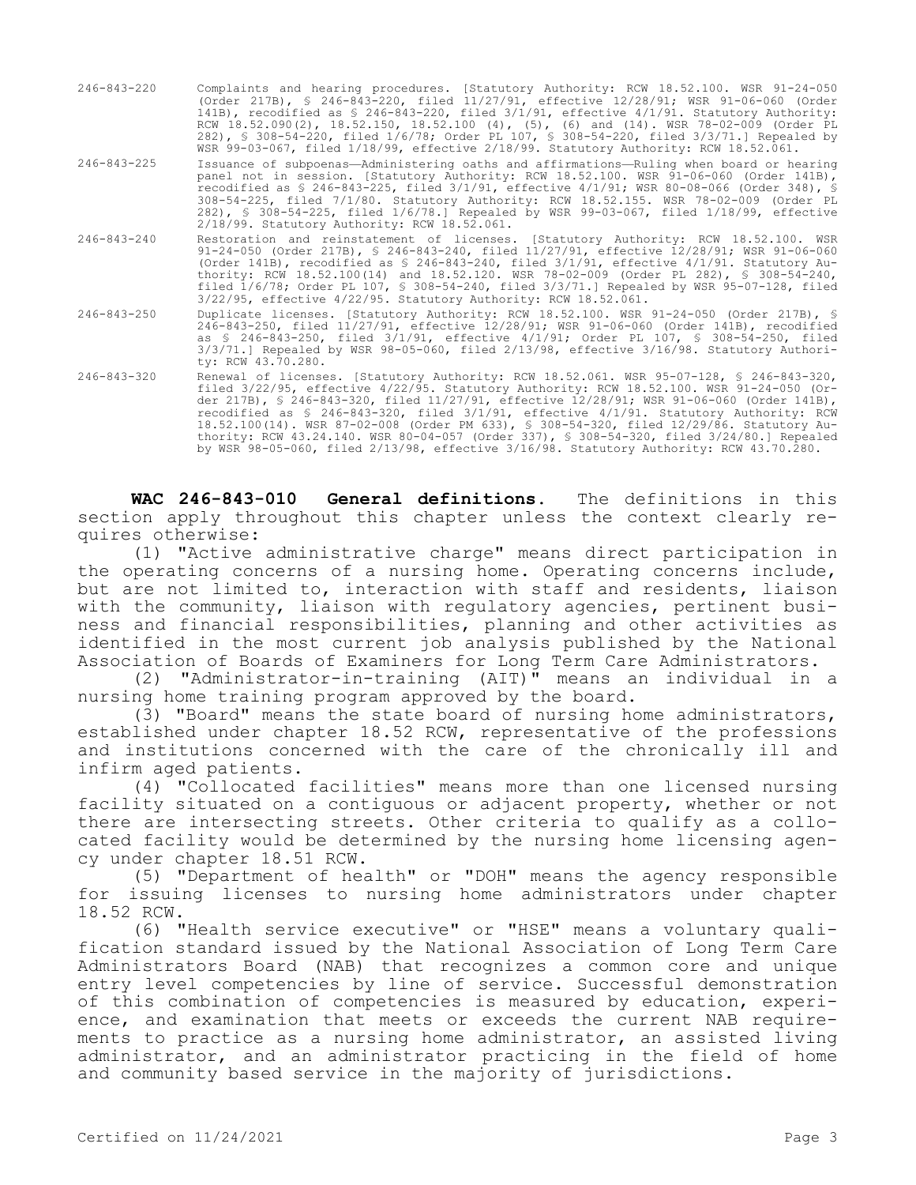- 246-843-220 Complaints and hearing procedures. [Statutory Authority: RCW 18.52.100. WSR 91-24-050 (Order 217B), § 246-843-220, filed 11/27/91, effective 12/28/91; WSR 91-06-060 (Order 141B), recodified as § 246-843-220, filed 3/1/91, effective 4/1/91. Statutory Authority: RCW 18.52.090(2), 18.52.150, 18.52.100 (4), (5), (6) and (14). WSR 78-02-009 (Order PL 282), § 308-54-220, filed 1/6/78; Order PL 107, § 308-54-220, filed 3/3/71.] Repealed by WSR 99-03-067, filed 1/18/99, effective 2/18/99. Statutory Authority: RCW 18.52.061.
- 246-843-225 Issuance of subpoenas—Administering oaths and affirmations—Ruling when board or hearing panel not in session. [Statutory Authority: RCW 18.52.100. WSR 91-06-060 (Order 141B), recodified as § 246-843-225, filed 3/1/91, effective 4/1/91; WSR 80-08-066 (Order 348), § 308-54-225, filed 7/1/80. Statutory Authority: RCW 18.52.155. WSR 78-02-009 (Order PL 282), § 308-54-225, filed 1/6/78.] Repealed by WSR 99-03-067, filed 1/18/99, effective 2/18/99. Statutory Authority: RCW 18.52.061.
- 246-843-240 Restoration and reinstatement of licenses. [Statutory Authority: RCW 18.52.100. WSR 91-24-050 (Order 217B), § 246-843-240, filed 11/27/91, effective 12/28/91; WSR 91-06-060 (Order 141B), recodified as § 246-843-240, filed 3/1/91, effective 4/1/91. Statutory Authority: RCW 18.52.100(14) and 18.52.120. WSR 78-02-009 (Order PL 282), § 308-54-240, filed 1/6/78; Order PL 107, § 308-54-240, filed 3/3/71.] Repealed by WSR 95-07-128, filed 3/22/95, effective 4/22/95. Statutory Authority: RCW 18.52.061.
- 246-843-250 Duplicate licenses. [Statutory Authority: RCW 18.52.100. WSR 91-24-050 (Order 217B), § 246-843-250, filed 11/27/91, effective 12/28/91; WSR 91-06-060 (Order 141B), recodified as § 246-843-250, filed 3/1/91, effective 4/1/91; Order PL 107, § 308-54-250, filed 3/3/71.] Repealed by WSR 98-05-060, filed 2/13/98, effective 3/16/98. Statutory Authority: RCW 43.70.280.
- 246-843-320 Renewal of licenses. [Statutory Authority: RCW 18.52.061. WSR 95-07-128, § 246-843-320, filed 3/22/95, effective 4/22/95. Statutory Authority: RCW 18.52.100. WSR 91-24-050 (Order 217B), § 246-843-320, filed 11/27/91, effective 12/28/91; WSR 91-06-060 (Order 141B), recodified as § 246-843-320, filed 3/1/91, effective 4/1/91. Statutory Authority: RCW 18.52.100(14). WSR 87-02-008 (Order PM 633), § 308-54-320, filed 12/29/86. Statutory Authority: RCW 43.24.140. WSR 80-04-057 (Order 337), § 308-54-320, filed 3/24/80.] Repealed by WSR 98-05-060, filed 2/13/98, effective 3/16/98. Statutory Authority: RCW 43.70.280.

**WAC 246-843-010 General definitions.** The definitions in this section apply throughout this chapter unless the context clearly requires otherwise:

(1) "Active administrative charge" means direct participation in the operating concerns of a nursing home. Operating concerns include, but are not limited to, interaction with staff and residents, liaison with the community, liaison with regulatory agencies, pertinent business and financial responsibilities, planning and other activities as identified in the most current job analysis published by the National Association of Boards of Examiners for Long Term Care Administrators.

(2) "Administrator-in-training (AIT)" means an individual in a nursing home training program approved by the board.

(3) "Board" means the state board of nursing home administrators, established under chapter 18.52 RCW, representative of the professions and institutions concerned with the care of the chronically ill and infirm aged patients.

(4) "Collocated facilities" means more than one licensed nursing facility situated on a contiguous or adjacent property, whether or not there are intersecting streets. Other criteria to qualify as a collocated facility would be determined by the nursing home licensing agency under chapter 18.51 RCW.

(5) "Department of health" or "DOH" means the agency responsible for issuing licenses to nursing home administrators under chapter 18.52 RCW.

(6) "Health service executive" or "HSE" means a voluntary qualification standard issued by the National Association of Long Term Care Administrators Board (NAB) that recognizes a common core and unique entry level competencies by line of service. Successful demonstration of this combination of competencies is measured by education, experience, and examination that meets or exceeds the current NAB requirements to practice as a nursing home administrator, an assisted living administrator, and an administrator practicing in the field of home and community based service in the majority of jurisdictions.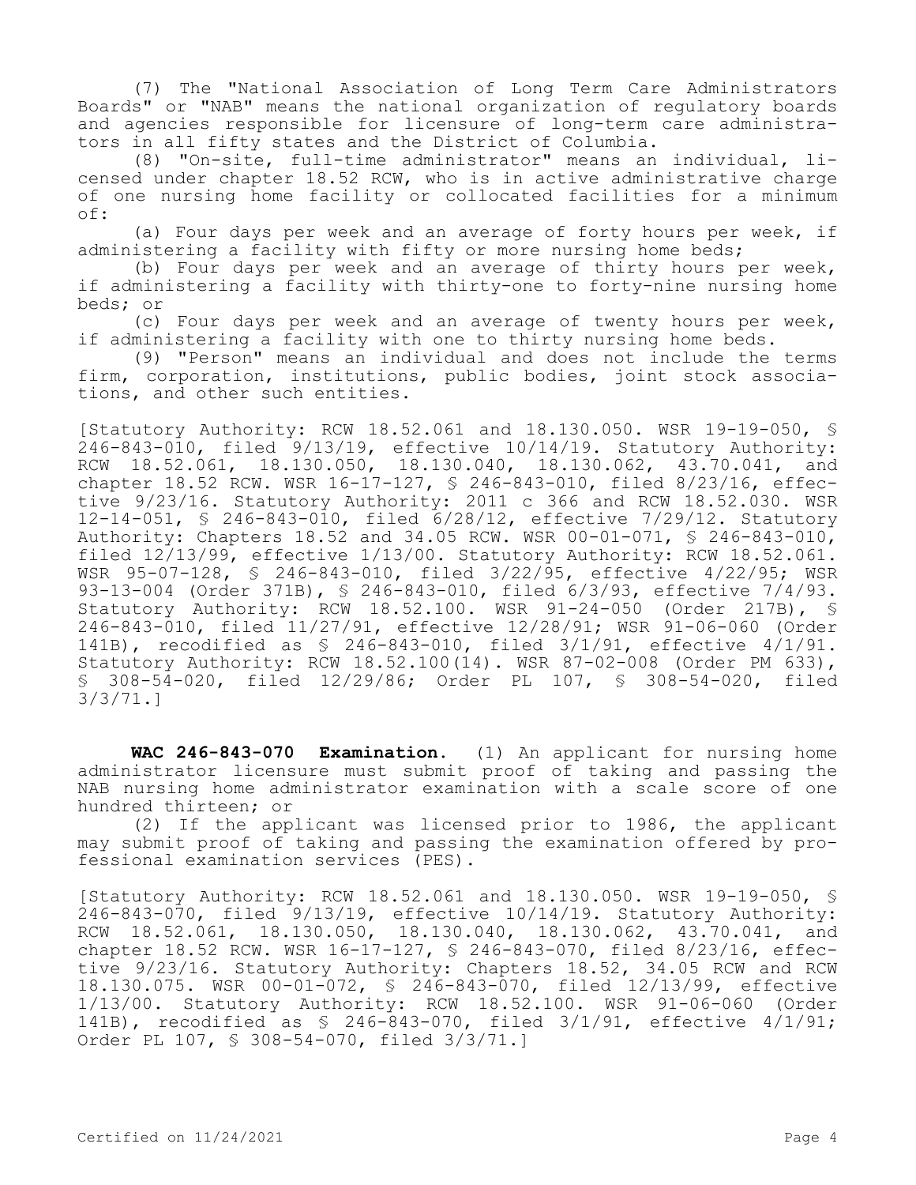(7) The "National Association of Long Term Care Administrators Boards" or "NAB" means the national organization of regulatory boards and agencies responsible for licensure of long-term care administrators in all fifty states and the District of Columbia.

(8) "On-site, full-time administrator" means an individual, licensed under chapter 18.52 RCW, who is in active administrative charge of one nursing home facility or collocated facilities for a minimum of:

(a) Four days per week and an average of forty hours per week, if administering a facility with fifty or more nursing home beds;

(b) Four days per week and an average of thirty hours per week, if administering a facility with thirty-one to forty-nine nursing home beds; or

(c) Four days per week and an average of twenty hours per week, if administering a facility with one to thirty nursing home beds.

(9) "Person" means an individual and does not include the terms firm, corporation, institutions, public bodies, joint stock associations, and other such entities.

[Statutory Authority: RCW 18.52.061 and 18.130.050. WSR 19-19-050, § 246-843-010, filed 9/13/19, effective 10/14/19. Statutory Authority: RCW 18.52.061, 18.130.050, 18.130.040, 18.130.062, 43.70.041, and chapter 18.52 RCW. WSR 16-17-127, § 246-843-010, filed 8/23/16, effective 9/23/16. Statutory Authority: 2011 c 366 and RCW 18.52.030. WSR 12-14-051, § 246-843-010, filed 6/28/12, effective 7/29/12. Statutory Authority: Chapters 18.52 and 34.05 RCW. WSR 00-01-071, § 246-843-010, filed 12/13/99, effective 1/13/00. Statutory Authority: RCW 18.52.061. WSR 95-07-128, § 246-843-010, filed 3/22/95, effective 4/22/95; WSR 93-13-004 (Order 371B), § 246-843-010, filed 6/3/93, effective 7/4/93. Statutory Authority: RCW 18.52.100. WSR 91-24-050 (Order 217B), § 246-843-010, filed 11/27/91, effective 12/28/91; WSR 91-06-060 (Order 141B), recodified as § 246-843-010, filed 3/1/91, effective 4/1/91. Statutory Authority: RCW 18.52.100(14). WSR 87-02-008 (Order PM 633), § 308-54-020, filed 12/29/86; Order PL 107, § 308-54-020, filed 3/3/71.]

**WAC 246-843-070 Examination.** (1) An applicant for nursing home administrator licensure must submit proof of taking and passing the NAB nursing home administrator examination with a scale score of one hundred thirteen; or

(2) If the applicant was licensed prior to 1986, the applicant may submit proof of taking and passing the examination offered by professional examination services (PES).

[Statutory Authority: RCW 18.52.061 and 18.130.050. WSR 19-19-050, § 246-843-070, filed 9/13/19, effective 10/14/19. Statutory Authority: RCW 18.52.061, 18.130.050, 18.130.040, 18.130.062, 43.70.041, and chapter 18.52 RCW. WSR 16-17-127, § 246-843-070, filed 8/23/16, effective 9/23/16. Statutory Authority: Chapters 18.52, 34.05 RCW and RCW 18.130.075. WSR 00-01-072, § 246-843-070, filed 12/13/99, effective 1/13/00. Statutory Authority: RCW 18.52.100. WSR 91-06-060 (Order 141B), recodified as § 246-843-070, filed 3/1/91, effective 4/1/91; Order PL 107, § 308-54-070, filed 3/3/71.]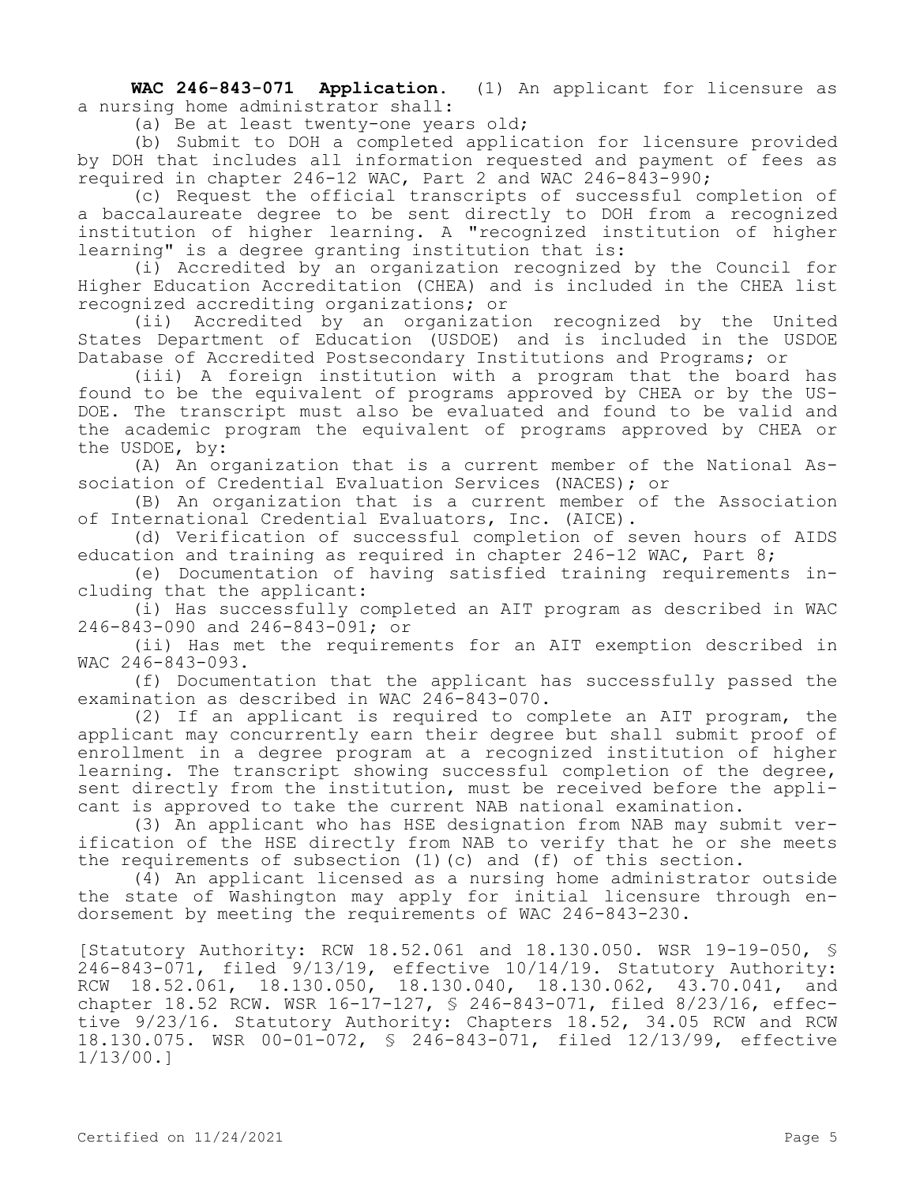**WAC 246-843-071 Application.** (1) An applicant for licensure as a nursing home administrator shall:

(a) Be at least twenty-one years old;

(b) Submit to DOH a completed application for licensure provided by DOH that includes all information requested and payment of fees as required in chapter 246-12 WAC, Part 2 and WAC 246-843-990;

(c) Request the official transcripts of successful completion of a baccalaureate degree to be sent directly to DOH from a recognized institution of higher learning. A "recognized institution of higher learning" is a degree granting institution that is:

(i) Accredited by an organization recognized by the Council for Higher Education Accreditation (CHEA) and is included in the CHEA list recognized accrediting organizations; or

(ii) Accredited by an organization recognized by the United States Department of Education (USDOE) and is included in the USDOE Database of Accredited Postsecondary Institutions and Programs; or

(iii) A foreign institution with a program that the board has found to be the equivalent of programs approved by CHEA or by the US-DOE. The transcript must also be evaluated and found to be valid and the academic program the equivalent of programs approved by CHEA or the USDOE, by:

(A) An organization that is a current member of the National Association of Credential Evaluation Services (NACES); or

(B) An organization that is a current member of the Association of International Credential Evaluators, Inc. (AICE).

(d) Verification of successful completion of seven hours of AIDS education and training as required in chapter 246-12 WAC, Part 8;

(e) Documentation of having satisfied training requirements including that the applicant:

(i) Has successfully completed an AIT program as described in WAC 246-843-090 and 246-843-091; or

(ii) Has met the requirements for an AIT exemption described in WAC 246-843-093.

(f) Documentation that the applicant has successfully passed the examination as described in WAC 246-843-070.

(2) If an applicant is required to complete an AIT program, the applicant may concurrently earn their degree but shall submit proof of enrollment in a degree program at a recognized institution of higher learning. The transcript showing successful completion of the degree, sent directly from the institution, must be received before the applicant is approved to take the current NAB national examination.

(3) An applicant who has HSE designation from NAB may submit verification of the HSE directly from NAB to verify that he or she meets the requirements of subsection (1)(c) and (f) of this section.

(4) An applicant licensed as a nursing home administrator outside the state of Washington may apply for initial licensure through endorsement by meeting the requirements of WAC 246-843-230.

[Statutory Authority: RCW 18.52.061 and 18.130.050. WSR 19-19-050, § 246-843-071, filed 9/13/19, effective 10/14/19. Statutory Authority: RCW 18.52.061, 18.130.050, 18.130.040, 18.130.062, 43.70.041, and chapter 18.52 RCW. WSR 16-17-127, § 246-843-071, filed 8/23/16, effective 9/23/16. Statutory Authority: Chapters 18.52, 34.05 RCW and RCW 18.130.075. WSR 00-01-072, § 246-843-071, filed 12/13/99, effective 1/13/00.]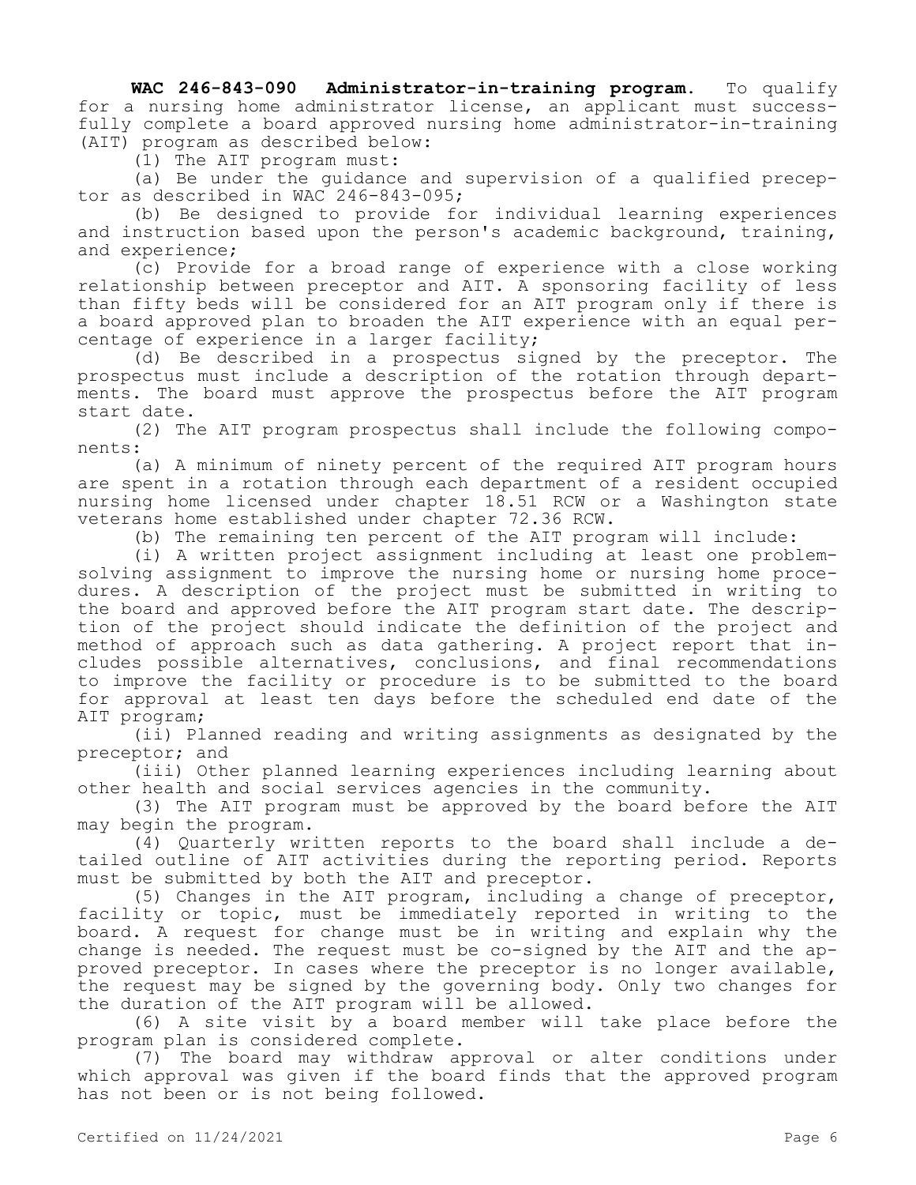**WAC 246-843-090 Administrator-in-training program.** To qualify for a nursing home administrator license, an applicant must successfully complete a board approved nursing home administrator-in-training (AIT) program as described below:

(1) The AIT program must:

(a) Be under the guidance and supervision of a qualified preceptor as described in WAC 246-843-095;

(b) Be designed to provide for individual learning experiences and instruction based upon the person's academic background, training, and experience;

(c) Provide for a broad range of experience with a close working relationship between preceptor and AIT. A sponsoring facility of less than fifty beds will be considered for an AIT program only if there is a board approved plan to broaden the AIT experience with an equal percentage of experience in a larger facility;

(d) Be described in a prospectus signed by the preceptor. The prospectus must include a description of the rotation through departments. The board must approve the prospectus before the AIT program start date.

(2) The AIT program prospectus shall include the following components:

(a) A minimum of ninety percent of the required AIT program hours are spent in a rotation through each department of a resident occupied nursing home licensed under chapter 18.51 RCW or a Washington state veterans home established under chapter 72.36 RCW.

(b) The remaining ten percent of the AIT program will include:

(i) A written project assignment including at least one problemsolving assignment to improve the nursing home or nursing home procedures. A description of the project must be submitted in writing to the board and approved before the AIT program start date. The description of the project should indicate the definition of the project and method of approach such as data gathering. A project report that includes possible alternatives, conclusions, and final recommendations to improve the facility or procedure is to be submitted to the board for approval at least ten days before the scheduled end date of the AIT program;

(ii) Planned reading and writing assignments as designated by the preceptor; and

(iii) Other planned learning experiences including learning about other health and social services agencies in the community.

(3) The AIT program must be approved by the board before the AIT may begin the program.

(4) Quarterly written reports to the board shall include a detailed outline of AIT activities during the reporting period. Reports must be submitted by both the AIT and preceptor.

(5) Changes in the AIT program, including a change of preceptor, facility or topic, must be immediately reported in writing to the board. A request for change must be in writing and explain why the change is needed. The request must be co-signed by the AIT and the approved preceptor. In cases where the preceptor is no longer available, the request may be signed by the governing body. Only two changes for the duration of the AIT program will be allowed.

(6) A site visit by a board member will take place before the program plan is considered complete.

(7) The board may withdraw approval or alter conditions under which approval was given if the board finds that the approved program has not been or is not being followed.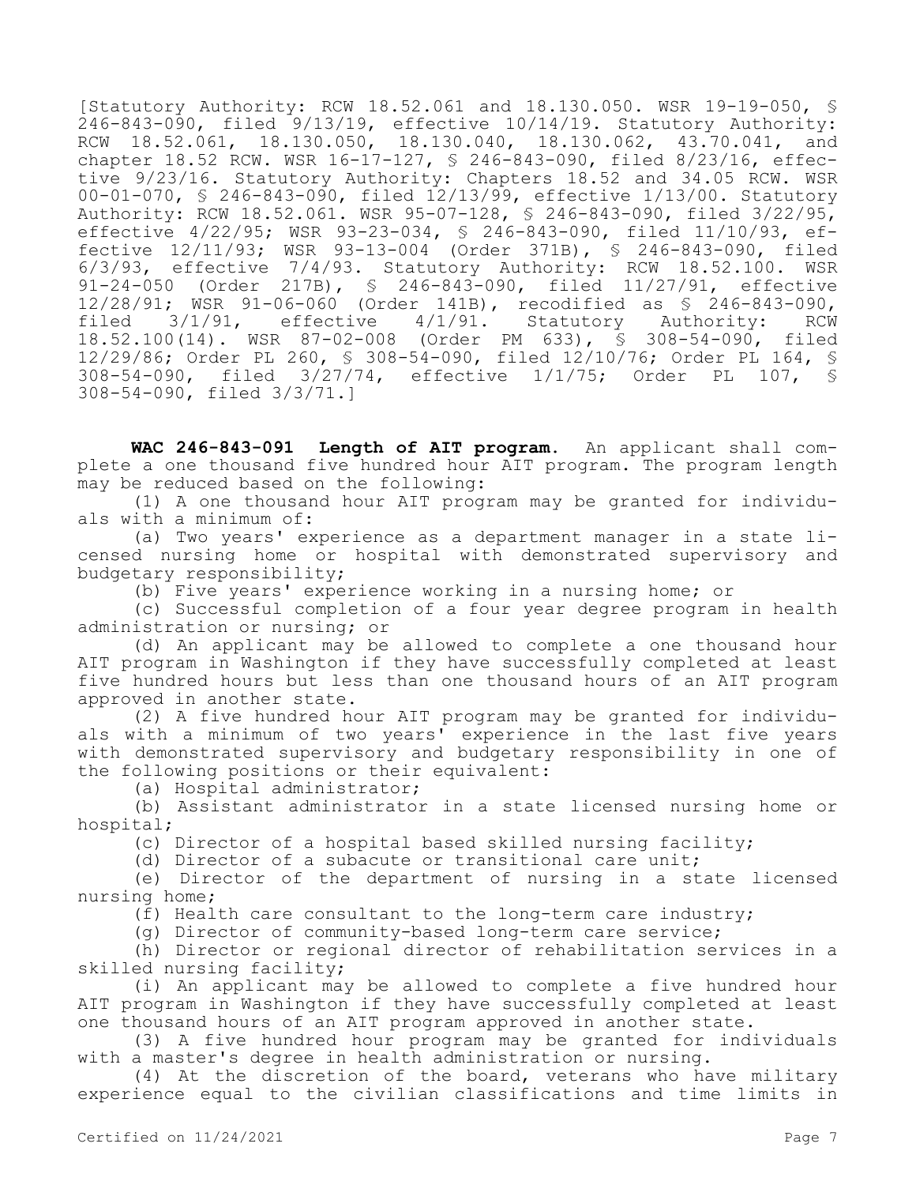[Statutory Authority: RCW 18.52.061 and 18.130.050. WSR 19-19-050, § 246-843-090, filed 9/13/19, effective 10/14/19. Statutory Authority: RCW 18.52.061, 18.130.050, 18.130.040, 18.130.062, 43.70.041, and chapter 18.52 RCW. WSR 16-17-127, § 246-843-090, filed 8/23/16, effective 9/23/16. Statutory Authority: Chapters 18.52 and 34.05 RCW. WSR 00-01-070, § 246-843-090, filed 12/13/99, effective 1/13/00. Statutory Authority: RCW 18.52.061. WSR 95-07-128, § 246-843-090, filed 3/22/95, effective 4/22/95; WSR 93-23-034, § 246-843-090, filed 11/10/93, effective 12/11/93; WSR 93-13-004 (Order 371B), § 246-843-090, filed 6/3/93, effective 7/4/93. Statutory Authority: RCW 18.52.100. WSR 91-24-050 (Order 217B), § 246-843-090, filed 11/27/91, effective 12/28/91; WSR 91-06-060 (Order 141B), recodified as \$ 246-843-090,<br>filed 3/1/91, effective 4/1/91. Statutory Authority: RCW filed 3/1/91, effective 4/1/91. Statutory Authority: RCW 18.52.100(14). WSR 87-02-008 (Order PM 633), § 308-54-090, filed 12/29/86; Order PL 260, § 308-54-090, filed 12/10/76; Order PL 164, § 308-54-090, filed 3/27/74, effective 1/1/75; Order PL 107, § 308-54-090, filed 3/3/71.]

**WAC 246-843-091 Length of AIT program.** An applicant shall complete a one thousand five hundred hour AIT program. The program length may be reduced based on the following:

(1) A one thousand hour AIT program may be granted for individuals with a minimum of:

(a) Two years' experience as a department manager in a state licensed nursing home or hospital with demonstrated supervisory and budgetary responsibility;

(b) Five years' experience working in a nursing home; or

(c) Successful completion of a four year degree program in health administration or nursing; or

(d) An applicant may be allowed to complete a one thousand hour AIT program in Washington if they have successfully completed at least five hundred hours but less than one thousand hours of an AIT program approved in another state.

(2) A five hundred hour AIT program may be granted for individuals with a minimum of two years' experience in the last five years with demonstrated supervisory and budgetary responsibility in one of the following positions or their equivalent:

(a) Hospital administrator;

(b) Assistant administrator in a state licensed nursing home or hospital;

(c) Director of a hospital based skilled nursing facility;

(d) Director of a subacute or transitional care unit;

(e) Director of the department of nursing in a state licensed nursing home;

(f) Health care consultant to the long-term care industry;

(g) Director of community-based long-term care service;

(h) Director or regional director of rehabilitation services in a skilled nursing facility;

(i) An applicant may be allowed to complete a five hundred hour AIT program in Washington if they have successfully completed at least one thousand hours of an AIT program approved in another state.

(3) A five hundred hour program may be granted for individuals with a master's degree in health administration or nursing.

(4) At the discretion of the board, veterans who have military experience equal to the civilian classifications and time limits in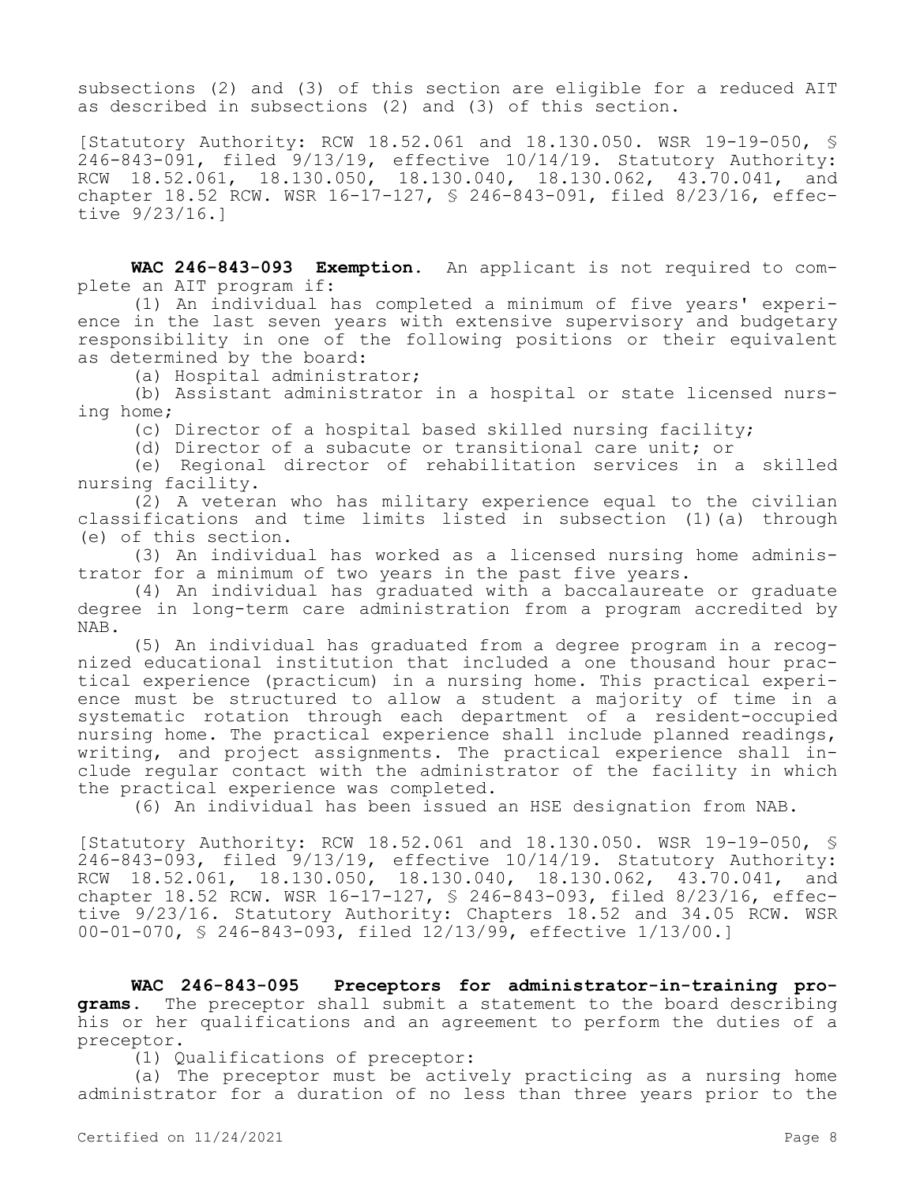subsections (2) and (3) of this section are eligible for a reduced AIT as described in subsections (2) and (3) of this section.

[Statutory Authority: RCW 18.52.061 and 18.130.050. WSR 19-19-050, § 246-843-091, filed 9/13/19, effective 10/14/19. Statutory Authority: RCW 18.52.061, 18.130.050, 18.130.040, 18.130.062, 43.70.041, and chapter 18.52 RCW. WSR 16-17-127, § 246-843-091, filed 8/23/16, effective 9/23/16.]

**WAC 246-843-093 Exemption.** An applicant is not required to complete an AIT program if:

(1) An individual has completed a minimum of five years' experience in the last seven years with extensive supervisory and budgetary responsibility in one of the following positions or their equivalent as determined by the board:

(a) Hospital administrator;

(b) Assistant administrator in a hospital or state licensed nursing home;

(c) Director of a hospital based skilled nursing facility;

(d) Director of a subacute or transitional care unit; or

(e) Regional director of rehabilitation services in a skilled nursing facility.

(2) A veteran who has military experience equal to the civilian classifications and time limits listed in subsection (1)(a) through (e) of this section.

(3) An individual has worked as a licensed nursing home administrator for a minimum of two years in the past five years.

(4) An individual has graduated with a baccalaureate or graduate degree in long-term care administration from a program accredited by NAB.

(5) An individual has graduated from a degree program in a recognized educational institution that included a one thousand hour practical experience (practicum) in a nursing home. This practical experience must be structured to allow a student a majority of time in a systematic rotation through each department of a resident-occupied nursing home. The practical experience shall include planned readings, writing, and project assignments. The practical experience shall include regular contact with the administrator of the facility in which the practical experience was completed.

(6) An individual has been issued an HSE designation from NAB.

[Statutory Authority: RCW 18.52.061 and 18.130.050. WSR 19-19-050, §  $246-843-093$ , filed  $9/13/19$ , effective  $10/14/19$ . Statutory Authority: RCW 18.52.061, 18.130.050, 18.130.040, 18.130.062, 43.70.041, and chapter 18.52 RCW. WSR 16-17-127, § 246-843-093, filed 8/23/16, effective 9/23/16. Statutory Authority: Chapters 18.52 and 34.05 RCW. WSR 00-01-070, § 246-843-093, filed 12/13/99, effective 1/13/00.]

**WAC 246-843-095 Preceptors for administrator-in-training pro**grams. The preceptor shall submit a statement to the board describing his or her qualifications and an agreement to perform the duties of a preceptor.

(1) Qualifications of preceptor:

(a) The preceptor must be actively practicing as a nursing home administrator for a duration of no less than three years prior to the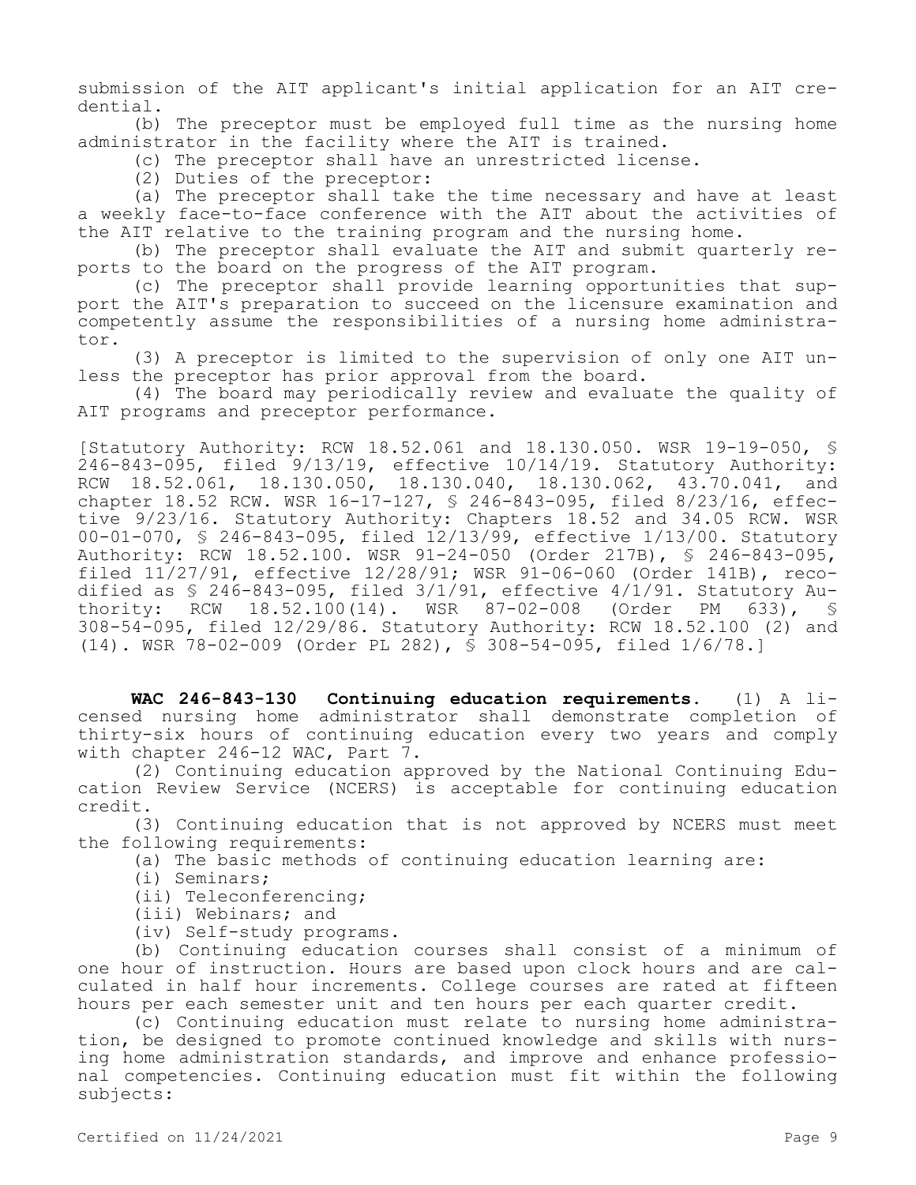submission of the AIT applicant's initial application for an AIT credential.

(b) The preceptor must be employed full time as the nursing home administrator in the facility where the AIT is trained.

(c) The preceptor shall have an unrestricted license.

(2) Duties of the preceptor:

(a) The preceptor shall take the time necessary and have at least a weekly face-to-face conference with the AIT about the activities of the AIT relative to the training program and the nursing home.

(b) The preceptor shall evaluate the AIT and submit quarterly reports to the board on the progress of the AIT program.

(c) The preceptor shall provide learning opportunities that support the AIT's preparation to succeed on the licensure examination and competently assume the responsibilities of a nursing home administrator.

(3) A preceptor is limited to the supervision of only one AIT unless the preceptor has prior approval from the board.

(4) The board may periodically review and evaluate the quality of AIT programs and preceptor performance.

[Statutory Authority: RCW 18.52.061 and 18.130.050. WSR 19-19-050, §  $246-843-095$ , filed  $9/13/19$ , effective  $10/14/19$ . Statutory Authority: RCW 18.52.061, 18.130.050, 18.130.040, 18.130.062, 43.70.041, and chapter 18.52 RCW. WSR 16-17-127, § 246-843-095, filed 8/23/16, effective 9/23/16. Statutory Authority: Chapters 18.52 and 34.05 RCW. WSR 00-01-070, § 246-843-095, filed 12/13/99, effective 1/13/00. Statutory Authority: RCW 18.52.100. WSR 91-24-050 (Order 217B), § 246-843-095, filed 11/27/91, effective 12/28/91; WSR 91-06-060 (Order 141B), recodified as  $$ 246-843-095$ , filed  $3/1/91$ , effective  $4/1/91$ . Statutory Au-<br>thority: RCW 18.52.100(14). WSR 87-02-008 (Order PM 633),  $$$ 18.52.100(14). WSR 87-02-008 (Order PM 308-54-095, filed 12/29/86. Statutory Authority: RCW 18.52.100 (2) and (14). WSR 78-02-009 (Order PL 282), § 308-54-095, filed 1/6/78.]

**WAC 246-843-130 Continuing education requirements.** (1) A licensed nursing home administrator shall demonstrate completion of thirty-six hours of continuing education every two years and comply with chapter 246-12 WAC, Part 7.

(2) Continuing education approved by the National Continuing Education Review Service (NCERS) is acceptable for continuing education credit.

(3) Continuing education that is not approved by NCERS must meet the following requirements:

(a) The basic methods of continuing education learning are:

(i) Seminars;

(ii) Teleconferencing;

- (iii) Webinars; and
- (iv) Self-study programs.

(b) Continuing education courses shall consist of a minimum of one hour of instruction. Hours are based upon clock hours and are calculated in half hour increments. College courses are rated at fifteen hours per each semester unit and ten hours per each quarter credit.

(c) Continuing education must relate to nursing home administration, be designed to promote continued knowledge and skills with nursing home administration standards, and improve and enhance professional competencies. Continuing education must fit within the following subjects: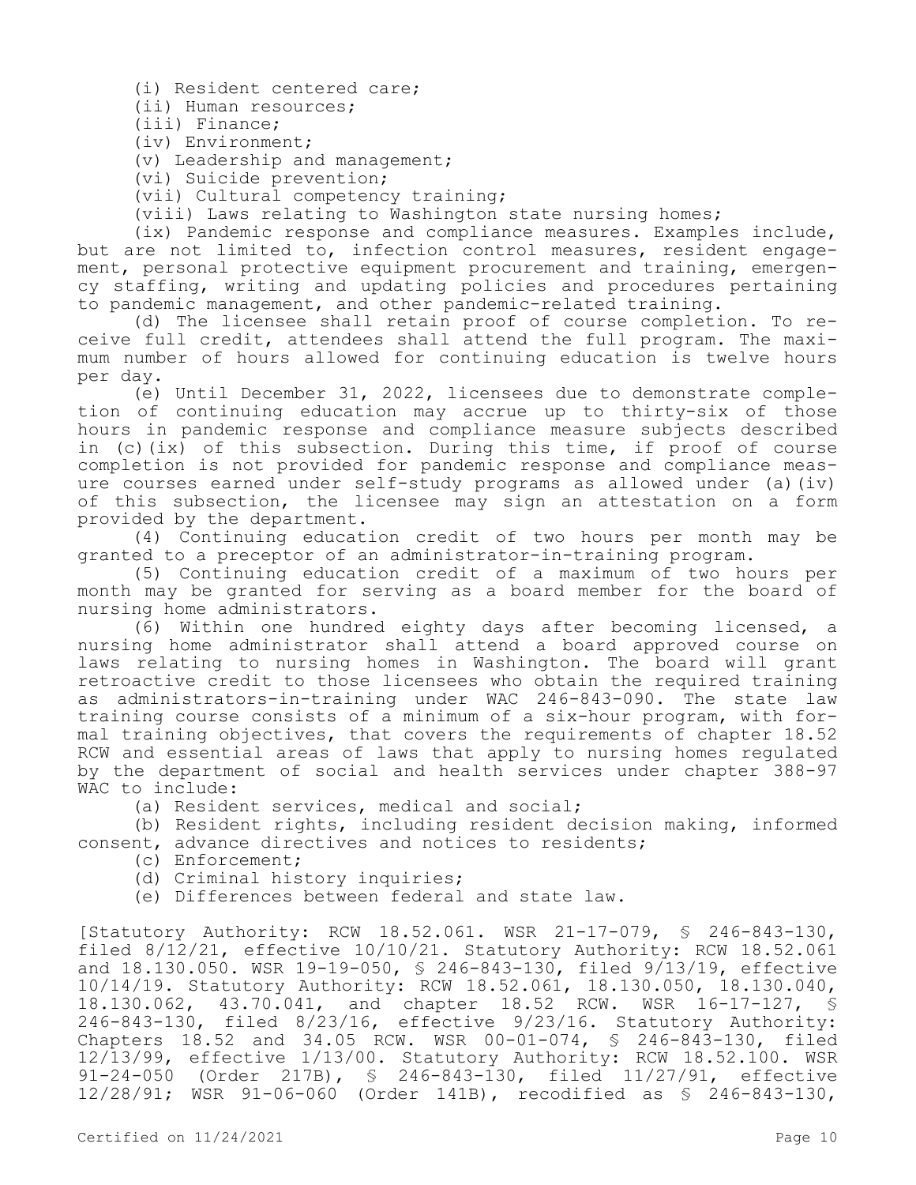(i) Resident centered care;

(ii) Human resources;

(iii) Finance;

(iv) Environment;

(v) Leadership and management;

(vi) Suicide prevention;

(vii) Cultural competency training;

(viii) Laws relating to Washington state nursing homes;

(ix) Pandemic response and compliance measures. Examples include, but are not limited to, infection control measures, resident engagement, personal protective equipment procurement and training, emergency staffing, writing and updating policies and procedures pertaining to pandemic management, and other pandemic-related training.

(d) The licensee shall retain proof of course completion. To receive full credit, attendees shall attend the full program. The maximum number of hours allowed for continuing education is twelve hours per day.

(e) Until December 31, 2022, licensees due to demonstrate completion of continuing education may accrue up to thirty-six of those hours in pandemic response and compliance measure subjects described in (c)(ix) of this subsection. During this time, if proof of course completion is not provided for pandemic response and compliance measure courses earned under self-study programs as allowed under (a)(iv) of this subsection, the licensee may sign an attestation on a form provided by the department.

(4) Continuing education credit of two hours per month may be granted to a preceptor of an administrator-in-training program.

(5) Continuing education credit of a maximum of two hours per month may be granted for serving as a board member for the board of nursing home administrators.

(6) Within one hundred eighty days after becoming licensed, a nursing home administrator shall attend a board approved course on laws relating to nursing homes in Washington. The board will grant retroactive credit to those licensees who obtain the required training as administrators-in-training under WAC 246-843-090. The state law training course consists of a minimum of a six-hour program, with formal training objectives, that covers the requirements of chapter 18.52 RCW and essential areas of laws that apply to nursing homes regulated by the department of social and health services under chapter 388-97 WAC to include:

(a) Resident services, medical and social;

(b) Resident rights, including resident decision making, informed consent, advance directives and notices to residents;

(c) Enforcement;

(d) Criminal history inquiries;

(e) Differences between federal and state law.

[Statutory Authority: RCW 18.52.061. WSR 21-17-079, § 246-843-130, filed 8/12/21, effective 10/10/21. Statutory Authority: RCW 18.52.061 and 18.130.050. WSR 19-19-050, § 246-843-130, filed 9/13/19, effective 10/14/19. Statutory Authority: RCW 18.52.061, 18.130.050, 18.130.040, 18.130.062, 43.70.041, and chapter 18.52 RCW. WSR 16-17-127, § 246-843-130, filed 8/23/16, effective 9/23/16. Statutory Authority: Chapters 18.52 and 34.05 RCW. WSR 00-01-074, § 246-843-130, filed 12/13/99, effective 1/13/00. Statutory Authority: RCW 18.52.100. WSR 91-24-050 (Order 217B), § 246-843-130, filed 11/27/91, effective 12/28/91; WSR 91-06-060 (Order 141B), recodified as § 246-843-130,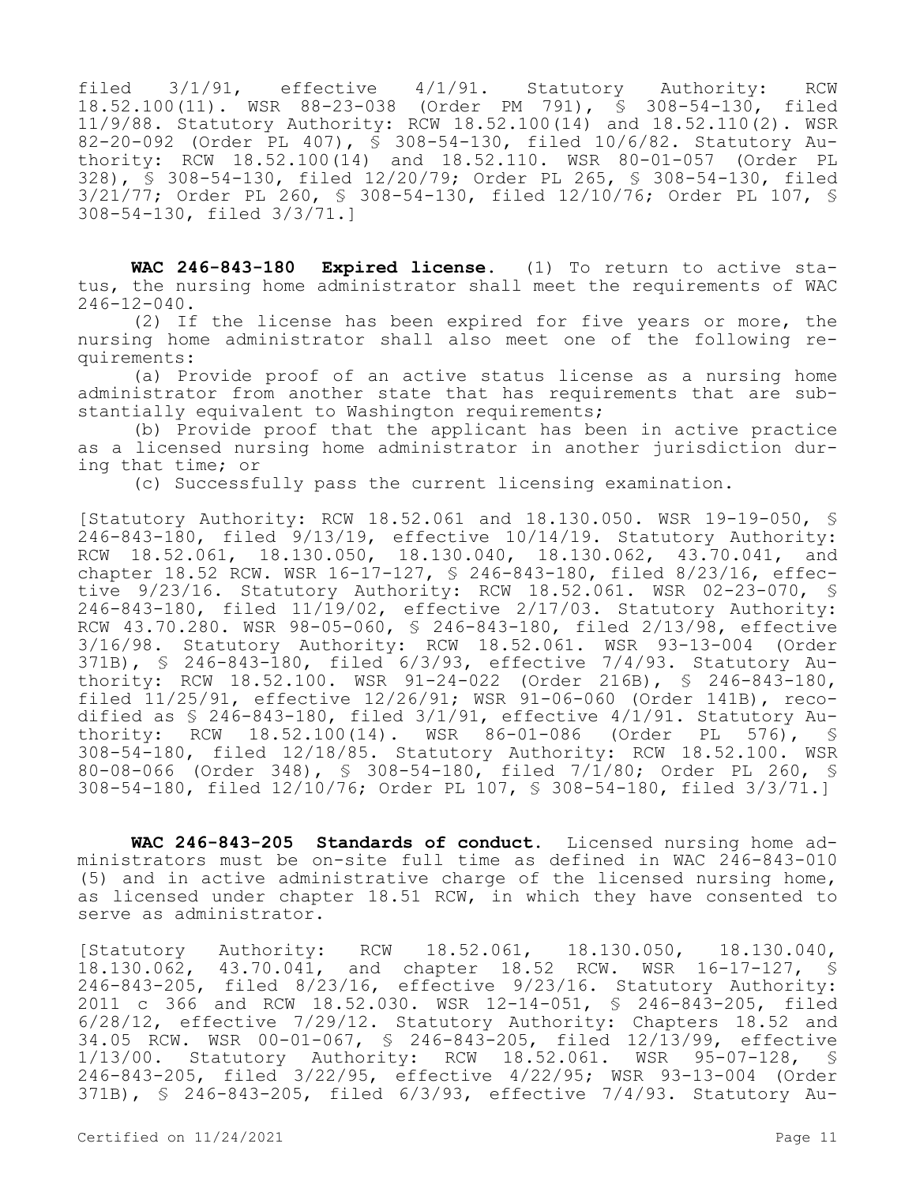filed 3/1/91, effective 4/1/91. Statutory Authority: RCW 18.52.100(11). WSR 88-23-038 (Order PM 791), § 308-54-130, filed 11/9/88. Statutory Authority: RCW 18.52.100(14) and 18.52.110(2). WSR 82-20-092 (Order PL 407), § 308-54-130, filed 10/6/82. Statutory Authority: RCW 18.52.100(14) and 18.52.110. WSR 80-01-057 (Order PL 328), § 308-54-130, filed 12/20/79; Order PL 265, § 308-54-130, filed 3/21/77; Order PL 260, § 308-54-130, filed 12/10/76; Order PL 107, § 308-54-130, filed 3/3/71.]

**WAC 246-843-180 Expired license.** (1) To return to active status, the nursing home administrator shall meet the requirements of WAC 246-12-040.

(2) If the license has been expired for five years or more, the nursing home administrator shall also meet one of the following requirements:

(a) Provide proof of an active status license as a nursing home administrator from another state that has requirements that are substantially equivalent to Washington requirements;

(b) Provide proof that the applicant has been in active practice as a licensed nursing home administrator in another jurisdiction during that time; or

(c) Successfully pass the current licensing examination.

[Statutory Authority: RCW 18.52.061 and 18.130.050. WSR 19-19-050, § 246-843-180, filed 9/13/19, effective 10/14/19. Statutory Authority: RCW 18.52.061, 18.130.050, 18.130.040, 18.130.062, 43.70.041, and chapter 18.52 RCW. WSR 16-17-127, § 246-843-180, filed 8/23/16, effective 9/23/16. Statutory Authority: RCW 18.52.061. WSR 02-23-070, § 246-843-180, filed 11/19/02, effective 2/17/03. Statutory Authority: RCW 43.70.280. WSR 98-05-060, § 246-843-180, filed 2/13/98, effective 3/16/98. Statutory Authority: RCW 18.52.061. WSR 93-13-004 (Order 371B), § 246-843-180, filed 6/3/93, effective 7/4/93. Statutory Authority: RCW 18.52.100. WSR 91-24-022 (Order 216B), § 246-843-180, filed 11/25/91, effective 12/26/91; WSR 91-06-060 (Order 141B), recodified as  $$ 246-843-180$ , filed  $3/1/91$ , effective  $4/1/91$ . Statutory Authority: RCW 18.52.100(14). WSR 86-01-086 (Order PL 576), § 308-54-180, filed 12/18/85. Statutory Authority: RCW 18.52.100. WSR 80-08-066 (Order 348), § 308-54-180, filed 7/1/80; Order PL 260, § 308-54-180, filed 12/10/76; Order PL 107, § 308-54-180, filed 3/3/71.]

**WAC 246-843-205 Standards of conduct.** Licensed nursing home administrators must be on-site full time as defined in WAC 246-843-010 (5) and in active administrative charge of the licensed nursing home, as licensed under chapter 18.51 RCW, in which they have consented to serve as administrator.

[Statutory Authority: RCW 18.52.061, 18.130.050, 18.130.040, 18.130.062, 43.70.041, and chapter 18.52 RCW. WSR 16-17-127, § 246-843-205, filed 8/23/16, effective 9/23/16. Statutory Authority: 2011 c 366 and RCW 18.52.030. WSR 12-14-051, § 246-843-205, filed 6/28/12, effective 7/29/12. Statutory Authority: Chapters 18.52 and 34.05 RCW. WSR 00-01-067, § 246-843-205, filed 12/13/99, effective 1/13/00. Statutory Authority: RCW 18.52.061. WSR 95-07-128, § 246-843-205, filed 3/22/95, effective 4/22/95; WSR 93-13-004 (Order 371B), § 246-843-205, filed 6/3/93, effective 7/4/93. Statutory Au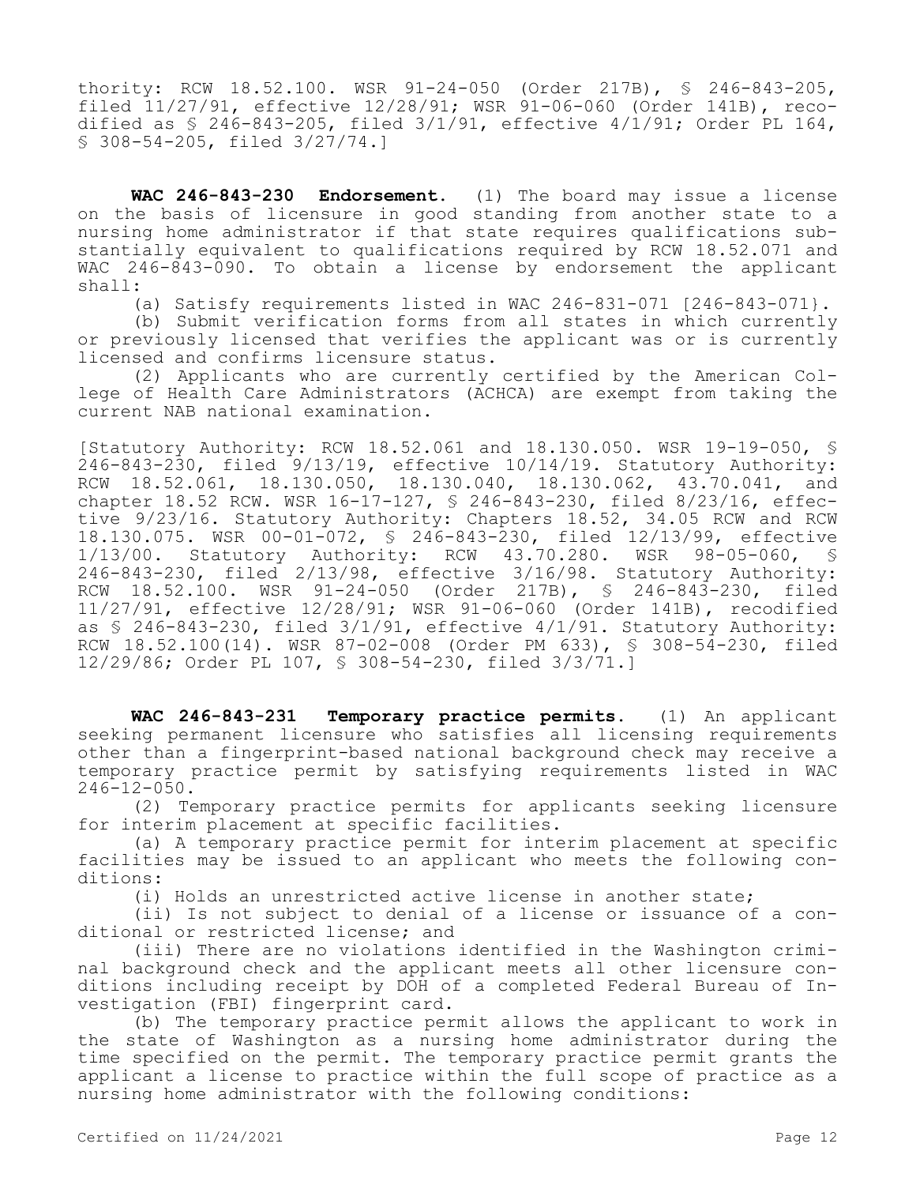thority: RCW 18.52.100. WSR 91-24-050 (Order 217B), § 246-843-205, filed 11/27/91, effective 12/28/91; WSR 91-06-060 (Order 141B), recodified as § 246-843-205, filed 3/1/91, effective 4/1/91; Order PL 164, § 308-54-205, filed 3/27/74.]

**WAC 246-843-230 Endorsement.** (1) The board may issue a license on the basis of licensure in good standing from another state to a nursing home administrator if that state requires qualifications substantially equivalent to qualifications required by RCW 18.52.071 and WAC 246-843-090. To obtain a license by endorsement the applicant shall:

(a) Satisfy requirements listed in WAC  $246-831-071$   $[246-843-071]$ .

(b) Submit verification forms from all states in which currently or previously licensed that verifies the applicant was or is currently licensed and confirms licensure status.

(2) Applicants who are currently certified by the American College of Health Care Administrators (ACHCA) are exempt from taking the current NAB national examination.

[Statutory Authority: RCW 18.52.061 and 18.130.050. WSR 19-19-050, §  $246-843-230$ , filed  $9/13/19$ , effective  $10/14/19$ . Statutory Authority: RCW 18.52.061, 18.130.050, 18.130.040, 18.130.062, 43.70.041, and chapter 18.52 RCW. WSR 16-17-127, § 246-843-230, filed 8/23/16, effective 9/23/16. Statutory Authority: Chapters 18.52, 34.05 RCW and RCW 18.130.075. WSR 00-01-072, § 246-843-230, filed 12/13/99, effective 1/13/00. Statutory Authority: RCW 43.70.280. WSR 98-05-060, § 246-843-230, filed 2/13/98, effective 3/16/98. Statutory Authority: RCW 18.52.100. WSR 91-24-050 (Order 217B), § 246-843-230, filed 11/27/91, effective 12/28/91; WSR 91-06-060 (Order 141B), recodified as  $$246-843-230$ , filed  $3/1/91$ , effective  $4/1/91$ . Statutory Authority: RCW 18.52.100(14). WSR 87-02-008 (Order PM 633), § 308-54-230, filed 12/29/86; Order PL 107, § 308-54-230, filed 3/3/71.]

**WAC 246-843-231 Temporary practice permits.** (1) An applicant seeking permanent licensure who satisfies all licensing requirements other than a fingerprint-based national background check may receive a temporary practice permit by satisfying requirements listed in WAC  $246 - 12 - 050$ .

(2) Temporary practice permits for applicants seeking licensure for interim placement at specific facilities.

(a) A temporary practice permit for interim placement at specific facilities may be issued to an applicant who meets the following conditions:

(i) Holds an unrestricted active license in another state;

(ii) Is not subject to denial of a license or issuance of a conditional or restricted license; and

(iii) There are no violations identified in the Washington criminal background check and the applicant meets all other licensure conditions including receipt by DOH of a completed Federal Bureau of Investigation (FBI) fingerprint card.

(b) The temporary practice permit allows the applicant to work in the state of Washington as a nursing home administrator during the time specified on the permit. The temporary practice permit grants the applicant a license to practice within the full scope of practice as a nursing home administrator with the following conditions: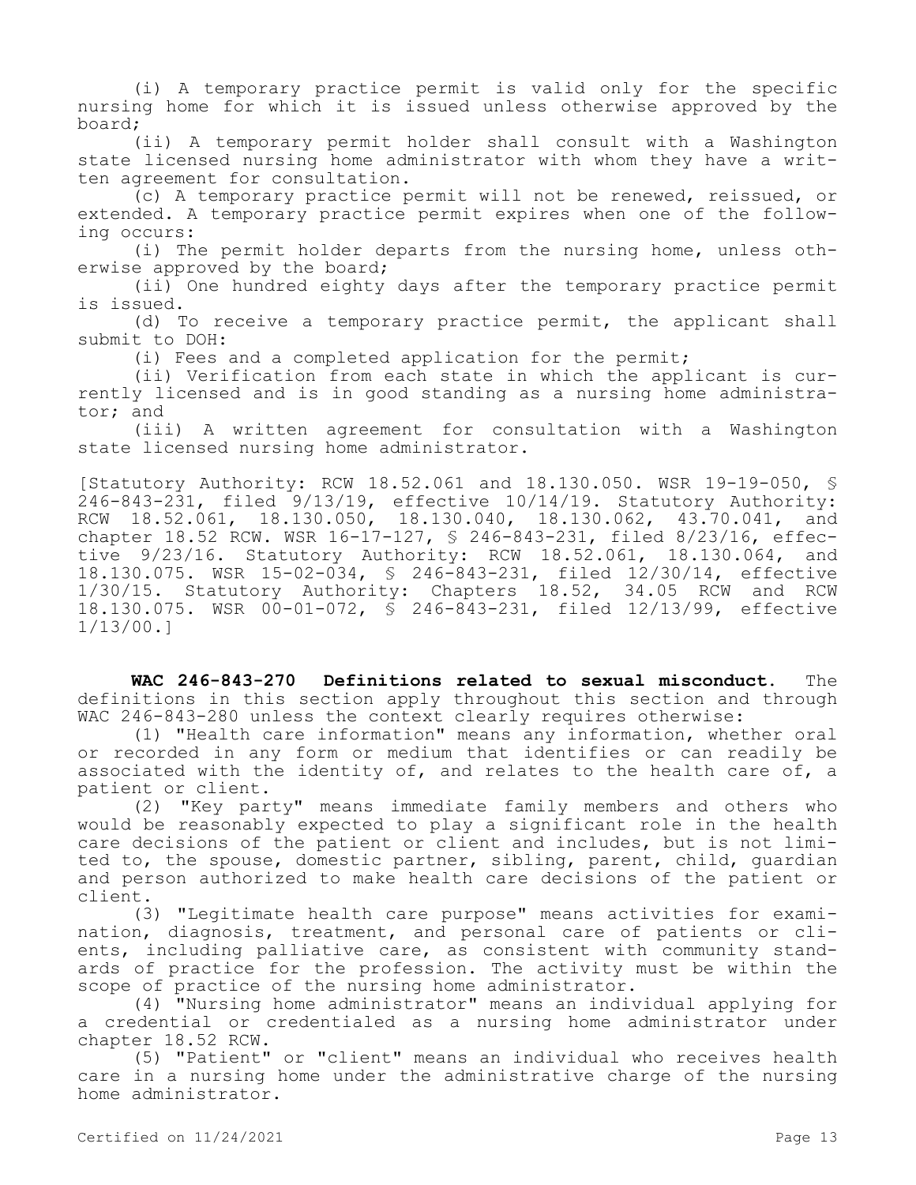(i) A temporary practice permit is valid only for the specific nursing home for which it is issued unless otherwise approved by the board;

(ii) A temporary permit holder shall consult with a Washington state licensed nursing home administrator with whom they have a written agreement for consultation.

(c) A temporary practice permit will not be renewed, reissued, or extended. A temporary practice permit expires when one of the following occurs:

(i) The permit holder departs from the nursing home, unless otherwise approved by the board;

(ii) One hundred eighty days after the temporary practice permit is issued.

(d) To receive a temporary practice permit, the applicant shall submit to DOH:

(i) Fees and a completed application for the permit;

(ii) Verification from each state in which the applicant is currently licensed and is in good standing as a nursing home administrator; and

(iii) A written agreement for consultation with a Washington state licensed nursing home administrator.

[Statutory Authority: RCW 18.52.061 and 18.130.050. WSR 19-19-050, § 246-843-231, filed 9/13/19, effective 10/14/19. Statutory Authority: RCW 18.52.061, 18.130.050, 18.130.040, 18.130.062, 43.70.041, and chapter 18.52 RCW. WSR 16-17-127, § 246-843-231, filed 8/23/16, effective 9/23/16. Statutory Authority: RCW 18.52.061, 18.130.064, and 18.130.075. WSR 15-02-034, § 246-843-231, filed 12/30/14, effective 1/30/15. Statutory Authority: Chapters 18.52, 34.05 RCW and RCW 18.130.075. WSR 00-01-072, § 246-843-231, filed 12/13/99, effective 1/13/00.]

**WAC 246-843-270 Definitions related to sexual misconduct.** The definitions in this section apply throughout this section and through WAC 246-843-280 unless the context clearly requires otherwise:

(1) "Health care information" means any information, whether oral or recorded in any form or medium that identifies or can readily be associated with the identity of, and relates to the health care of, a patient or client.

(2) "Key party" means immediate family members and others who would be reasonably expected to play a significant role in the health care decisions of the patient or client and includes, but is not limited to, the spouse, domestic partner, sibling, parent, child, guardian and person authorized to make health care decisions of the patient or client.

(3) "Legitimate health care purpose" means activities for examination, diagnosis, treatment, and personal care of patients or clients, including palliative care, as consistent with community standards of practice for the profession. The activity must be within the scope of practice of the nursing home administrator.

(4) "Nursing home administrator" means an individual applying for a credential or credentialed as a nursing home administrator under chapter 18.52 RCW.

(5) "Patient" or "client" means an individual who receives health care in a nursing home under the administrative charge of the nursing home administrator.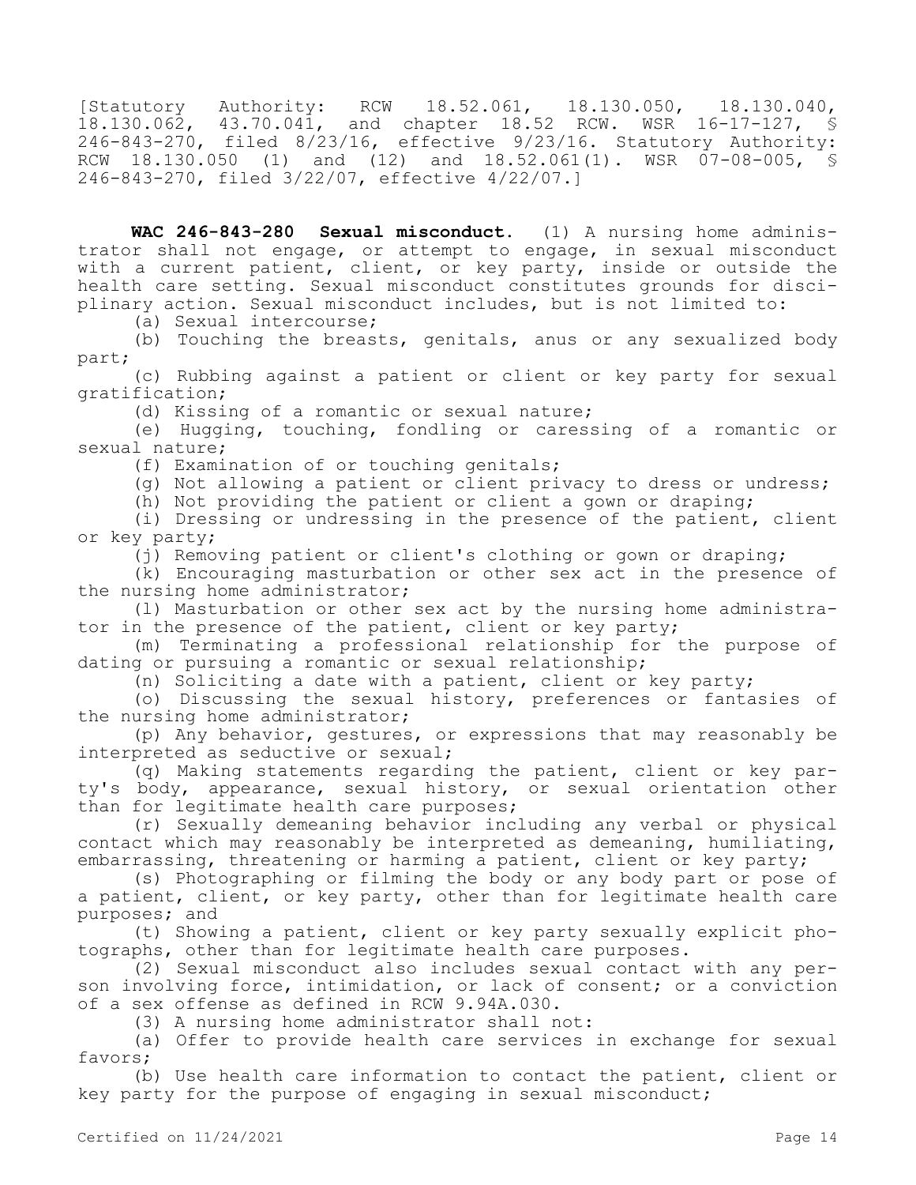[Statutory Authority: RCW 18.52.061, 18.130.050, 18.130.040, 18.130.062, 43.70.041, and chapter 18.52 RCW. WSR 16-17-127, § 246-843-270, filed 8/23/16, effective 9/23/16. Statutory Authority: RCW 18.130.050 (1) and (12) and 18.52.061(1). WSR 07-08-005, § 246-843-270, filed 3/22/07, effective 4/22/07.]

**WAC 246-843-280 Sexual misconduct.** (1) A nursing home administrator shall not engage, or attempt to engage, in sexual misconduct with a current patient, client, or key party, inside or outside the health care setting. Sexual misconduct constitutes grounds for disciplinary action. Sexual misconduct includes, but is not limited to:

(a) Sexual intercourse;

(b) Touching the breasts, genitals, anus or any sexualized body part;

(c) Rubbing against a patient or client or key party for sexual gratification;

(d) Kissing of a romantic or sexual nature;

(e) Hugging, touching, fondling or caressing of a romantic or sexual nature;

(f) Examination of or touching genitals;

(g) Not allowing a patient or client privacy to dress or undress;

(h) Not providing the patient or client a gown or draping;

(i) Dressing or undressing in the presence of the patient, client or key party;

(j) Removing patient or client's clothing or gown or draping;

(k) Encouraging masturbation or other sex act in the presence of the nursing home administrator;

(l) Masturbation or other sex act by the nursing home administrator in the presence of the patient, client or key party;

(m) Terminating a professional relationship for the purpose of dating or pursuing a romantic or sexual relationship;

(n) Soliciting a date with a patient, client or key party;

(o) Discussing the sexual history, preferences or fantasies of the nursing home administrator;

(p) Any behavior, gestures, or expressions that may reasonably be interpreted as seductive or sexual;

(q) Making statements regarding the patient, client or key party's body, appearance, sexual history, or sexual orientation other than for legitimate health care purposes;

(r) Sexually demeaning behavior including any verbal or physical contact which may reasonably be interpreted as demeaning, humiliating, embarrassing, threatening or harming a patient, client or key party;

(s) Photographing or filming the body or any body part or pose of a patient, client, or key party, other than for legitimate health care purposes; and

(t) Showing a patient, client or key party sexually explicit photographs, other than for legitimate health care purposes.

(2) Sexual misconduct also includes sexual contact with any person involving force, intimidation, or lack of consent; or a conviction of a sex offense as defined in RCW 9.94A.030.

(3) A nursing home administrator shall not:

(a) Offer to provide health care services in exchange for sexual favors;

(b) Use health care information to contact the patient, client or key party for the purpose of engaging in sexual misconduct;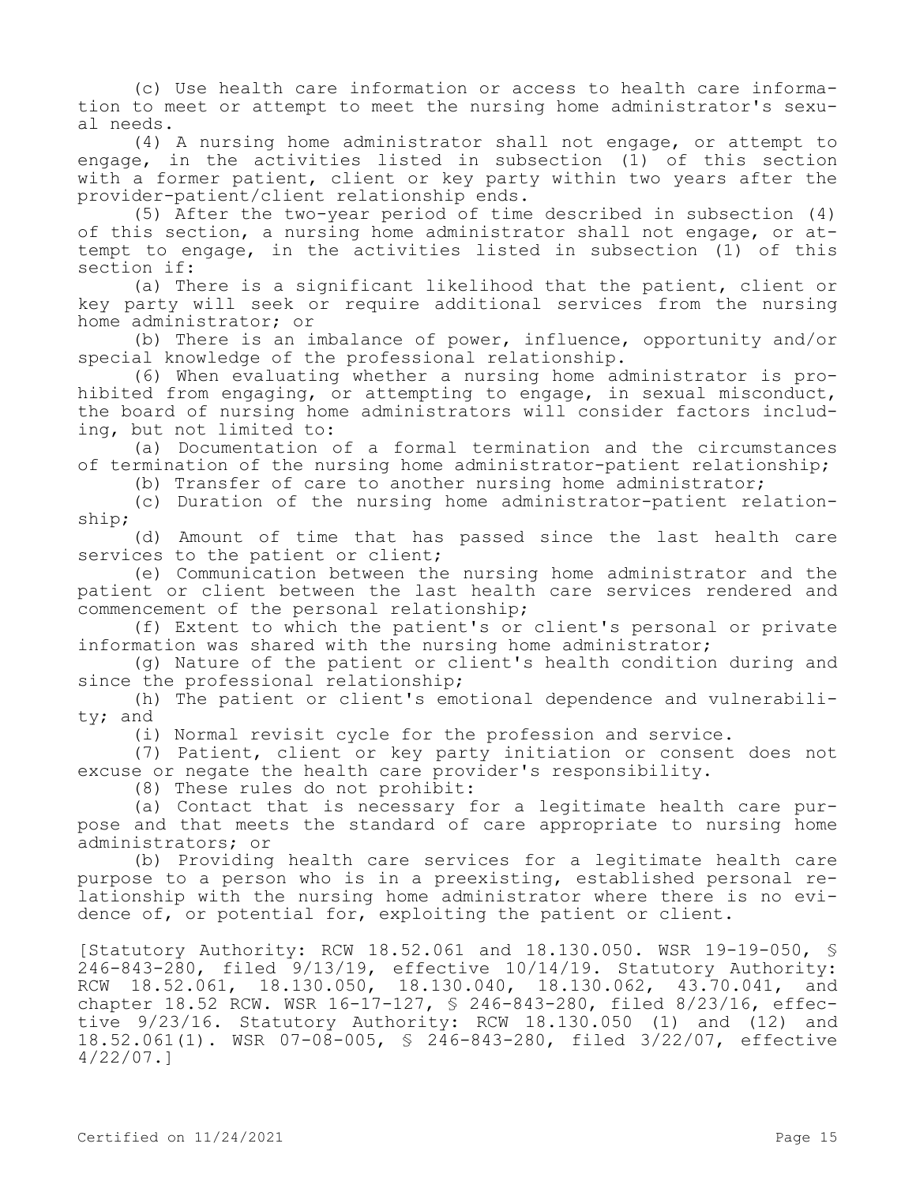(c) Use health care information or access to health care information to meet or attempt to meet the nursing home administrator's sexual needs.

(4) A nursing home administrator shall not engage, or attempt to engage, in the activities listed in subsection (1) of this section with a former patient, client or key party within two years after the provider-patient/client relationship ends.

(5) After the two-year period of time described in subsection (4) of this section, a nursing home administrator shall not engage, or attempt to engage, in the activities listed in subsection (1) of this section if:

(a) There is a significant likelihood that the patient, client or key party will seek or require additional services from the nursing home administrator; or

(b) There is an imbalance of power, influence, opportunity and/or special knowledge of the professional relationship.

(6) When evaluating whether a nursing home administrator is prohibited from engaging, or attempting to engage, in sexual misconduct, the board of nursing home administrators will consider factors including, but not limited to:

(a) Documentation of a formal termination and the circumstances of termination of the nursing home administrator-patient relationship;

(b) Transfer of care to another nursing home administrator;

(c) Duration of the nursing home administrator-patient relationship;

(d) Amount of time that has passed since the last health care services to the patient or client;

(e) Communication between the nursing home administrator and the patient or client between the last health care services rendered and commencement of the personal relationship;

(f) Extent to which the patient's or client's personal or private information was shared with the nursing home administrator;

(g) Nature of the patient or client's health condition during and since the professional relationship;

(h) The patient or client's emotional dependence and vulnerability; and

(i) Normal revisit cycle for the profession and service.

(7) Patient, client or key party initiation or consent does not excuse or negate the health care provider's responsibility.

(8) These rules do not prohibit:

(a) Contact that is necessary for a legitimate health care purpose and that meets the standard of care appropriate to nursing home administrators; or

(b) Providing health care services for a legitimate health care purpose to a person who is in a preexisting, established personal relationship with the nursing home administrator where there is no evidence of, or potential for, exploiting the patient or client.

[Statutory Authority: RCW 18.52.061 and 18.130.050. WSR 19-19-050, § 246-843-280, filed 9/13/19, effective 10/14/19. Statutory Authority: RCW 18.52.061, 18.130.050, 18.130.040, 18.130.062, 43.70.041, and chapter 18.52 RCW. WSR 16-17-127, § 246-843-280, filed 8/23/16, effective 9/23/16. Statutory Authority: RCW 18.130.050 (1) and (12) and 18.52.061(1). WSR 07-08-005, § 246-843-280, filed 3/22/07, effective 4/22/07.]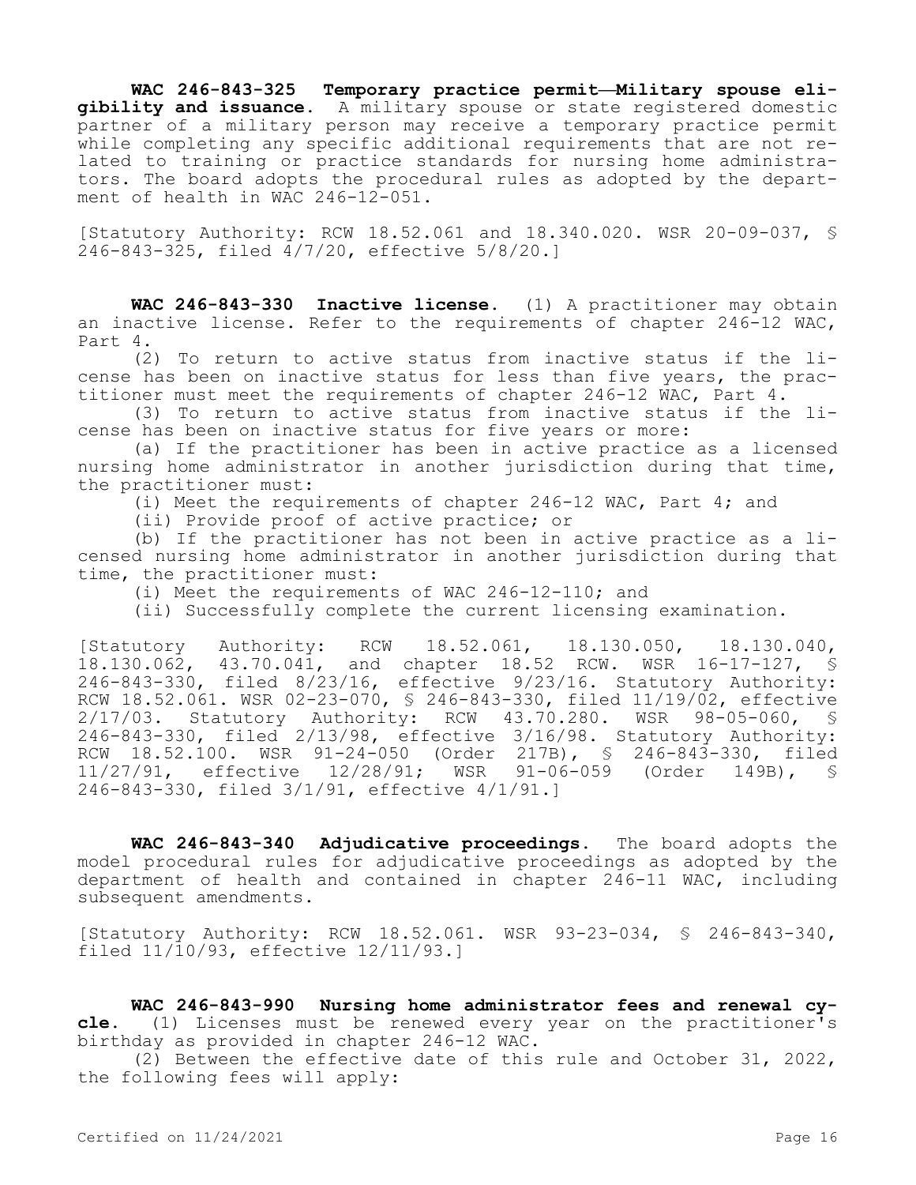**WAC 246-843-325 Temporary practice permit—Military spouse eligibility and issuance.** A military spouse or state registered domestic partner of a military person may receive a temporary practice permit while completing any specific additional requirements that are not related to training or practice standards for nursing home administrators. The board adopts the procedural rules as adopted by the department of health in WAC 246-12-051.

[Statutory Authority: RCW 18.52.061 and 18.340.020. WSR 20-09-037, § 246-843-325, filed 4/7/20, effective 5/8/20.]

**WAC 246-843-330 Inactive license.** (1) A practitioner may obtain an inactive license. Refer to the requirements of chapter 246-12 WAC, Part 4.

(2) To return to active status from inactive status if the license has been on inactive status for less than five years, the practitioner must meet the requirements of chapter 246-12 WAC, Part 4.

(3) To return to active status from inactive status if the license has been on inactive status for five years or more:

(a) If the practitioner has been in active practice as a licensed nursing home administrator in another jurisdiction during that time, the practitioner must:

(i) Meet the requirements of chapter 246-12 WAC, Part 4; and

(ii) Provide proof of active practice; or

(b) If the practitioner has not been in active practice as a licensed nursing home administrator in another jurisdiction during that time, the practitioner must:

(i) Meet the requirements of WAC 246-12-110; and

(ii) Successfully complete the current licensing examination.

[Statutory Authority: RCW 18.52.061, 18.130.050, 18.130.040, 18.130.062, 43.70.041, and chapter 18.52 RCW. WSR 16-17-127, § 246-843-330, filed 8/23/16, effective 9/23/16. Statutory Authority: RCW 18.52.061. WSR 02-23-070, § 246-843-330, filed 11/19/02, effective 2/17/03. Statutory Authority: RCW 43.70.280. WSR 98-05-060, § 246-843-330, filed 2/13/98, effective 3/16/98. Statutory Authority: RCW 18.52.100. WSR 91-24-050 (Order 217B), § 246-843-330, filed 11/27/91, effective 12/28/91; WSR 91-06-059 (Order 149B), § 246-843-330, filed 3/1/91, effective 4/1/91.]

**WAC 246-843-340 Adjudicative proceedings.** The board adopts the model procedural rules for adjudicative proceedings as adopted by the department of health and contained in chapter 246-11 WAC, including subsequent amendments.

[Statutory Authority: RCW 18.52.061. WSR 93-23-034, § 246-843-340, filed 11/10/93, effective 12/11/93.]

**WAC 246-843-990 Nursing home administrator fees and renewal cycle.** (1) Licenses must be renewed every year on the practitioner's birthday as provided in chapter 246-12 WAC.

(2) Between the effective date of this rule and October 31, 2022, the following fees will apply: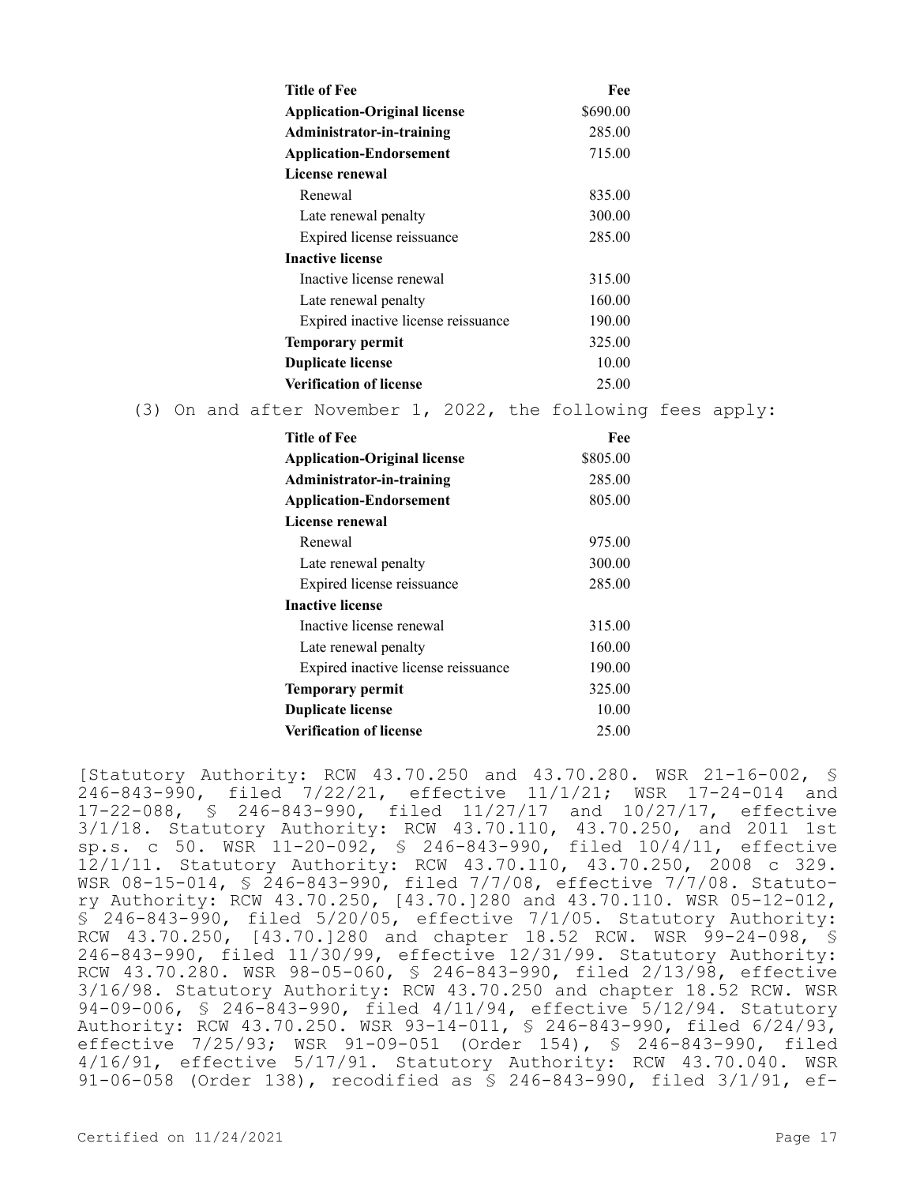|                                                                                            |                                                                                                                       | <b>Title of Fee</b> |  |  |  |        |       | Fee                                                      |  |
|--------------------------------------------------------------------------------------------|-----------------------------------------------------------------------------------------------------------------------|---------------------|--|--|--|--------|-------|----------------------------------------------------------|--|
|                                                                                            | <b>Application-Original license</b><br>Administrator-in-training<br><b>Application-Endorsement</b><br>License renewal |                     |  |  |  |        |       | \$690.00                                                 |  |
|                                                                                            |                                                                                                                       |                     |  |  |  |        |       | 285.00                                                   |  |
|                                                                                            |                                                                                                                       |                     |  |  |  |        |       | 715.00                                                   |  |
|                                                                                            |                                                                                                                       |                     |  |  |  |        |       |                                                          |  |
|                                                                                            | Renewal                                                                                                               |                     |  |  |  |        |       | 835.00                                                   |  |
|                                                                                            | Late renewal penalty                                                                                                  |                     |  |  |  |        |       | 300.00                                                   |  |
|                                                                                            | Expired license reissuance                                                                                            |                     |  |  |  |        |       | 285.00                                                   |  |
|                                                                                            | <b>Inactive license</b>                                                                                               |                     |  |  |  |        |       |                                                          |  |
|                                                                                            | Inactive license renewal<br>Late renewal penalty                                                                      |                     |  |  |  |        |       | 315.00                                                   |  |
|                                                                                            |                                                                                                                       |                     |  |  |  |        |       | 160.00                                                   |  |
| Expired inactive license reissuance<br><b>Temporary permit</b><br><b>Duplicate license</b> |                                                                                                                       |                     |  |  |  | 190.00 |       |                                                          |  |
|                                                                                            |                                                                                                                       |                     |  |  |  | 325.00 |       |                                                          |  |
|                                                                                            |                                                                                                                       |                     |  |  |  | 10.00  |       |                                                          |  |
| <b>Verification of license</b>                                                             |                                                                                                                       |                     |  |  |  |        | 25.00 |                                                          |  |
| (3)                                                                                        |                                                                                                                       |                     |  |  |  |        |       | On and after November 1, 2022, the following fees apply: |  |

| Title of Fee                        | Fee      |  |  |  |  |  |
|-------------------------------------|----------|--|--|--|--|--|
| <b>Application-Original license</b> | \$805.00 |  |  |  |  |  |
| Administrator-in-training           | 285.00   |  |  |  |  |  |
| <b>Application-Endorsement</b>      | 805.00   |  |  |  |  |  |
| License renewal                     |          |  |  |  |  |  |
| Renewal                             | 975.00   |  |  |  |  |  |
| Late renewal penalty                | 300.00   |  |  |  |  |  |
| Expired license reissuance          | 285.00   |  |  |  |  |  |
| <b>Inactive license</b>             |          |  |  |  |  |  |
| Inactive license renewal            | 315.00   |  |  |  |  |  |
| Late renewal penalty                | 160.00   |  |  |  |  |  |
| Expired inactive license reissuance | 190.00   |  |  |  |  |  |
| <b>Temporary permit</b>             | 325.00   |  |  |  |  |  |
| <b>Duplicate license</b>            | 10.00    |  |  |  |  |  |
| Verification of license             | 25.00    |  |  |  |  |  |

[Statutory Authority: RCW 43.70.250 and 43.70.280. WSR 21-16-002, § 246-843-990, filed 7/22/21, effective 11/1/21; WSR 17-24-014 and 17-22-088, § 246-843-990, filed 11/27/17 and 10/27/17, effective 3/1/18. Statutory Authority: RCW 43.70.110, 43.70.250, and 2011 1st sp.s. c 50. WSR 11-20-092, § 246-843-990, filed 10/4/11, effective 12/1/11. Statutory Authority: RCW 43.70.110, 43.70.250, 2008 c 329. WSR 08-15-014, § 246-843-990, filed 7/7/08, effective 7/7/08. Statutory Authority: RCW 43.70.250, [43.70.]280 and 43.70.110. WSR 05-12-012, § 246-843-990, filed 5/20/05, effective 7/1/05. Statutory Authority: RCW 43.70.250, [43.70.]280 and chapter 18.52 RCW. WSR 99-24-098, § 246-843-990, filed 11/30/99, effective 12/31/99. Statutory Authority: RCW 43.70.280. WSR 98-05-060, § 246-843-990, filed 2/13/98, effective 3/16/98. Statutory Authority: RCW 43.70.250 and chapter 18.52 RCW. WSR 94-09-006, § 246-843-990, filed 4/11/94, effective 5/12/94. Statutory Authority: RCW 43.70.250. WSR 93-14-011, § 246-843-990, filed 6/24/93, effective 7/25/93; WSR 91-09-051 (Order 154), § 246-843-990, filed 4/16/91, effective 5/17/91. Statutory Authority: RCW 43.70.040. WSR 91-06-058 (Order 138), recodified as § 246-843-990, filed 3/1/91, ef-